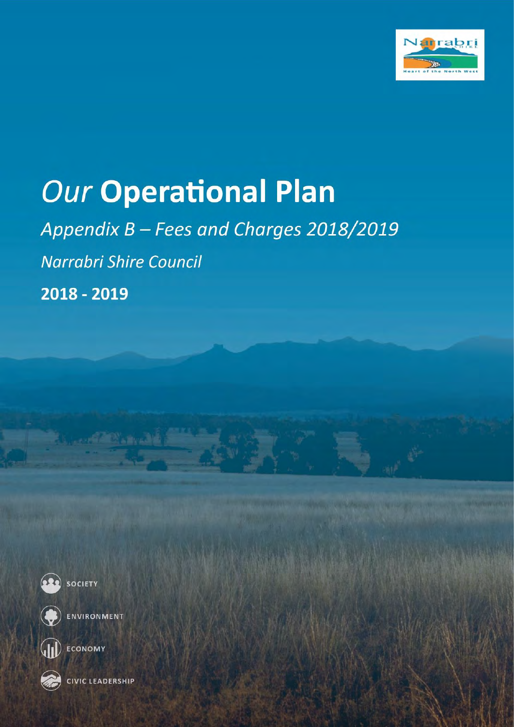

# **Our Operational Plan**

Appendix B - Fees and Charges 2018/2019 Narrabri Shire Council 2018 - 2019





ENVIRONMENT

**Committee Second** 



**WE ECONOMY** 

CIVIC LEADERSHIP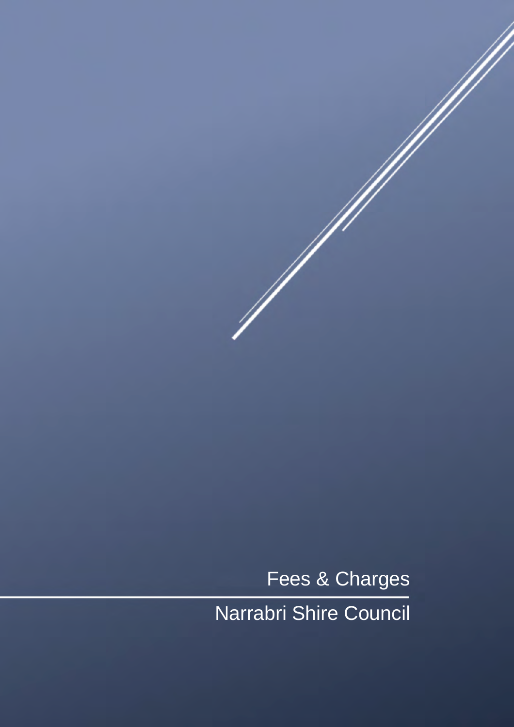Narrabri Shire Council Fees & Charges

 $\mathscr{N}$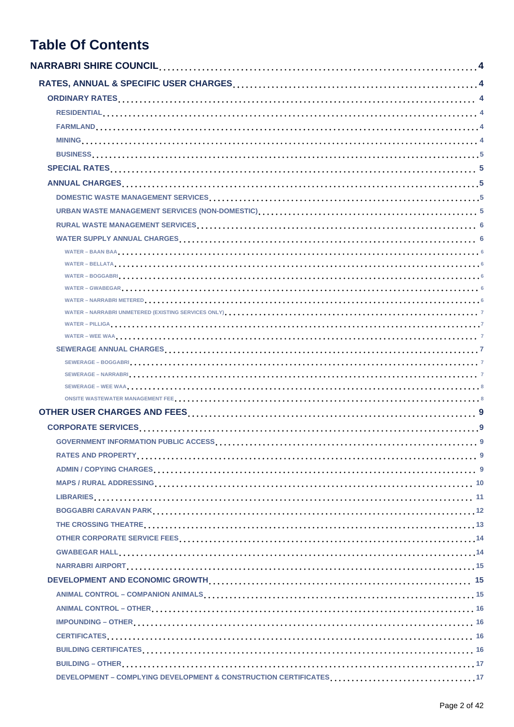## **Table Of Contents**

| SEWERAGE – WEE WAA et electronic entry and the server of the server of the server of the server of the server of the server of the server of the server of the server of the server of the server of the server of the server |  |
|-------------------------------------------------------------------------------------------------------------------------------------------------------------------------------------------------------------------------------|--|
|                                                                                                                                                                                                                               |  |
|                                                                                                                                                                                                                               |  |
|                                                                                                                                                                                                                               |  |
|                                                                                                                                                                                                                               |  |
|                                                                                                                                                                                                                               |  |
|                                                                                                                                                                                                                               |  |
|                                                                                                                                                                                                                               |  |
|                                                                                                                                                                                                                               |  |
|                                                                                                                                                                                                                               |  |
|                                                                                                                                                                                                                               |  |
|                                                                                                                                                                                                                               |  |
|                                                                                                                                                                                                                               |  |
|                                                                                                                                                                                                                               |  |
|                                                                                                                                                                                                                               |  |
|                                                                                                                                                                                                                               |  |
|                                                                                                                                                                                                                               |  |
|                                                                                                                                                                                                                               |  |
|                                                                                                                                                                                                                               |  |
|                                                                                                                                                                                                                               |  |
|                                                                                                                                                                                                                               |  |
| DEVELOPMENT - COMPLYING DEVELOPMENT & CONSTRUCTION CERTIFICATES17                                                                                                                                                             |  |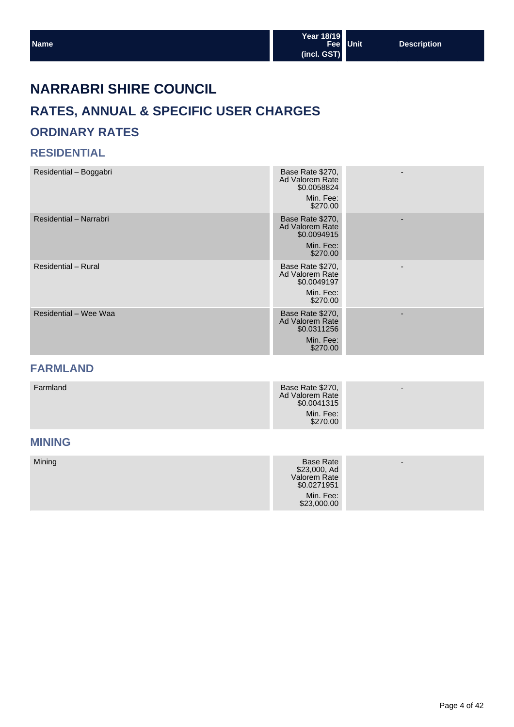## **NARRABRI SHIRE COUNCIL**

## **RATES, ANNUAL & SPECIFIC USER CHARGES ORDINARY RATES**

#### **RESIDENTIAL**

| Residential - Boggabri | Base Rate \$270,<br>Ad Valorem Rate<br>\$0.0058824<br>Min. Fee:<br>\$270.00 |                          |
|------------------------|-----------------------------------------------------------------------------|--------------------------|
| Residential - Narrabri | Base Rate \$270,<br>Ad Valorem Rate<br>\$0.0094915<br>Min. Fee:<br>\$270.00 |                          |
| Residential - Rural    | Base Rate \$270,<br>Ad Valorem Rate<br>\$0.0049197<br>Min. Fee:<br>\$270.00 | $\overline{\phantom{0}}$ |
| Residential - Wee Waa  | Base Rate \$270,<br>Ad Valorem Rate<br>\$0.0311256<br>Min. Fee:<br>\$270.00 |                          |

## **FARMLAND**

| Farmland | Base Rate \$270,<br>Ad Valorem Rate<br>\$0.0041315 | $\overline{\phantom{0}}$ |
|----------|----------------------------------------------------|--------------------------|
|          | Min. Fee:<br>\$270.00                              |                          |

## **MINING**

| Mining | Base Rate<br>\$23,000, Ad<br>Valorem Rate<br>\$0.0271951 | $\overline{\phantom{0}}$ |
|--------|----------------------------------------------------------|--------------------------|
|        | Min. Fee:<br>\$23,000.00                                 |                          |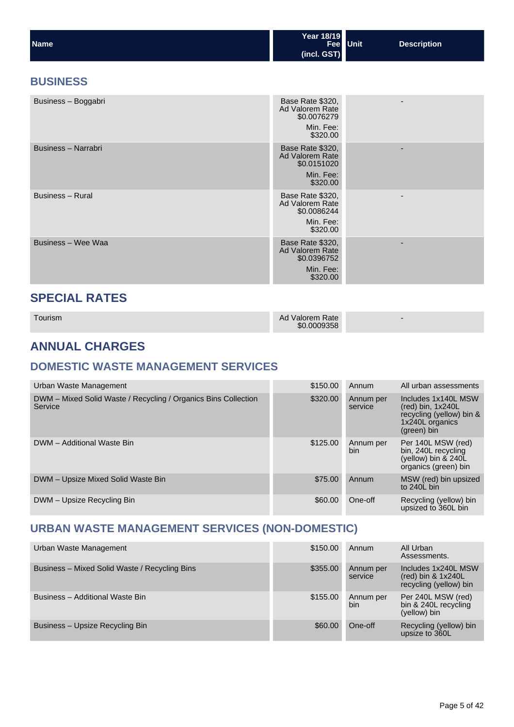| <b>Name</b> | Year 18/19<br>Fee Unit | <b>Description</b> |
|-------------|------------------------|--------------------|
|             | (incl. GST)            |                    |

## **BUSINESS**

| Business - Boggabri | Base Rate \$320,<br>Ad Valorem Rate<br>\$0.0076279<br>Min. Fee:<br>\$320.00 |  |
|---------------------|-----------------------------------------------------------------------------|--|
| Business - Narrabri | Base Rate \$320,<br>Ad Valorem Rate<br>\$0.0151020<br>Min. Fee:<br>\$320.00 |  |
| Business - Rural    | Base Rate \$320,<br>Ad Valorem Rate<br>\$0.0086244<br>Min. Fee:<br>\$320.00 |  |
| Business - Wee Waa  | Base Rate \$320,<br>Ad Valorem Rate<br>\$0.0396752<br>Min. Fee:<br>\$320.00 |  |

## **SPECIAL RATES**

| Tourism |  |
|---------|--|
|         |  |
|         |  |

Tourism Ad Valorem Rate \$0.0009358

-

## **ANNUAL CHARGES**

## **DOMESTIC WASTE MANAGEMENT SERVICES**

| Urban Waste Management                                                    | \$150.00 | Annum                | All urban assessments                                                                                           |
|---------------------------------------------------------------------------|----------|----------------------|-----------------------------------------------------------------------------------------------------------------|
| DWM – Mixed Solid Waste / Recycling / Organics Bins Collection<br>Service | \$320,00 | Annum per<br>service | Includes 1x140L MSW<br>$(\text{red})$ bin, 1x240L<br>recycling (yellow) bin &<br>1x240L organics<br>(green) bin |
| DWM - Additional Waste Bin                                                | \$125.00 | Annum per<br>bin     | Per 140L MSW (red)<br>bin, 240L recycling<br>(yellow) bin & 240L<br>organics (green) bin                        |
| DWM - Upsize Mixed Solid Waste Bin                                        | \$75.00  | Annum                | MSW (red) bin upsized<br>to 240L bin                                                                            |
| DWM - Upsize Recycling Bin                                                | \$60.00  | One-off              | Recycling (yellow) bin<br>upsized to 360L bin                                                                   |

## **URBAN WASTE MANAGEMENT SERVICES (NON-DOMESTIC)**

| Urban Waste Management                        | \$150.00 | Annum                | All Urban<br>Assessments.                                                    |
|-----------------------------------------------|----------|----------------------|------------------------------------------------------------------------------|
| Business - Mixed Solid Waste / Recycling Bins | \$355.00 | Annum per<br>service | Includes 1x240L MSW<br>$(\text{red})$ bin & 1x240L<br>recycling (yellow) bin |
| Business - Additional Waste Bin               | \$155.00 | Annum per<br>bin.    | Per 240L MSW (red)<br>bin & 240L recycling<br>(yellow) bin                   |
| Business - Upsize Recycling Bin               | \$60.00  | One-off              | Recycling (yellow) bin<br>upsize to 360L                                     |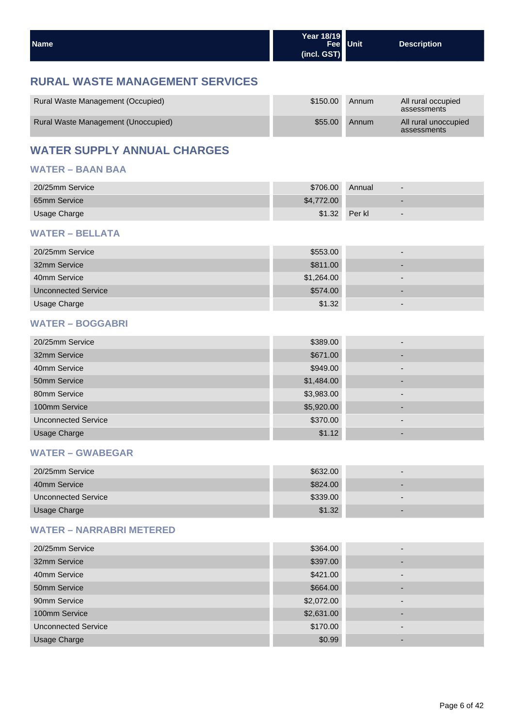| Name | Year 18/19                   | Fee Unit | <b>Description</b> |
|------|------------------------------|----------|--------------------|
|      | $\left  \right $ (incl. GST) |          |                    |

## **RURAL WASTE MANAGEMENT SERVICES**

| Rural Waste Management (Occupied)   | \$150.00 | Annum | All rural occupied<br>assessments   |
|-------------------------------------|----------|-------|-------------------------------------|
| Rural Waste Management (Unoccupied) | \$55.00  | Annum | All rural unoccupied<br>assessments |

## **WATER SUPPLY ANNUAL CHARGES**

#### **WATER – BAAN BAA**

| 20/25mm Service | \$706.00   | Annual |                          |
|-----------------|------------|--------|--------------------------|
| 65mm Service    | \$4,772.00 |        |                          |
| Usage Charge    | \$1.32     | Per kl | $\overline{\phantom{a}}$ |

#### **WATER – BELLATA**

| 20/25mm Service            | \$553.00   | $\overline{\phantom{0}}$ |
|----------------------------|------------|--------------------------|
| 32mm Service               | \$811.00   | -                        |
| 40mm Service               | \$1,264.00 | $\overline{\phantom{0}}$ |
| <b>Unconnected Service</b> | \$574.00   |                          |
| Usage Charge               | \$1.32     | -                        |

#### **WATER – BOGGABRI**

| 20/25mm Service            | \$389.00   | $\overline{\phantom{0}}$ |
|----------------------------|------------|--------------------------|
| 32mm Service               | \$671.00   | $\overline{\phantom{0}}$ |
| 40mm Service               | \$949.00   | $\overline{\phantom{0}}$ |
| 50mm Service               | \$1,484.00 | $\overline{\phantom{0}}$ |
| 80mm Service               | \$3,983.00 | $\overline{\phantom{0}}$ |
| 100mm Service              | \$5,920.00 | $\overline{\phantom{0}}$ |
| <b>Unconnected Service</b> | \$370.00   | $\overline{\phantom{0}}$ |
| <b>Usage Charge</b>        | \$1.12     | -                        |

#### **WATER – GWABEGAR**

| 20/25mm Service     | \$632.00 | $\overline{\phantom{0}}$ |
|---------------------|----------|--------------------------|
| 40mm Service        | \$824.00 | -                        |
| Unconnected Service | \$339.00 | $\overline{\phantom{0}}$ |
| Usage Charge        | \$1.32   | $\overline{\phantom{0}}$ |

#### **WATER – NARRABRI METERED**

| 20/25mm Service            | \$364.00   | $\overline{\phantom{0}}$ |
|----------------------------|------------|--------------------------|
| 32mm Service               | \$397.00   |                          |
| 40mm Service               | \$421.00   | -                        |
| 50mm Service               | \$664.00   | $\overline{\phantom{0}}$ |
| 90mm Service               | \$2,072.00 | -                        |
| 100mm Service              | \$2,631.00 | $\overline{\phantom{0}}$ |
| <b>Unconnected Service</b> | \$170.00   | -                        |
| <b>Usage Charge</b>        | \$0.99     | $\overline{\phantom{0}}$ |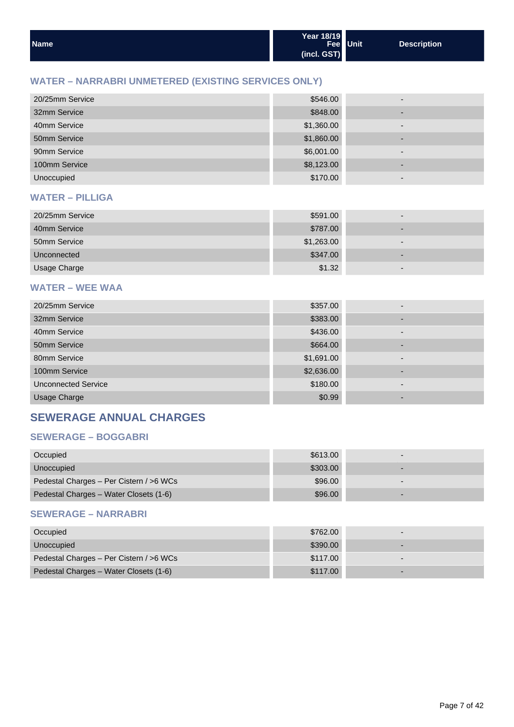| <b>Name</b> | Year 18/19<br>(incl. GST) | Fee Unit | Description |
|-------------|---------------------------|----------|-------------|
|-------------|---------------------------|----------|-------------|

#### **WATER – NARRABRI UNMETERED (EXISTING SERVICES ONLY)**

| 20/25mm Service | \$546.00   |                          |
|-----------------|------------|--------------------------|
| 32mm Service    | \$848.00   |                          |
| 40mm Service    | \$1,360.00 | -                        |
| 50mm Service    | \$1,860.00 | -                        |
| 90mm Service    | \$6,001.00 |                          |
| 100mm Service   | \$8,123.00 | $\overline{\phantom{0}}$ |
| Unoccupied      | \$170.00   | -                        |

#### **WATER – PILLIGA**

| 20/25mm Service | \$591.00   | -                        |
|-----------------|------------|--------------------------|
| 40mm Service    | \$787.00   | $\overline{\phantom{0}}$ |
| 50mm Service    | \$1,263.00 | -                        |
| Unconnected     | \$347.00   | -                        |
| Usage Charge    | \$1.32     | $\overline{\phantom{0}}$ |

#### **WATER – WEE WAA**

| 20/25mm Service            | \$357.00   | -                        |
|----------------------------|------------|--------------------------|
| 32mm Service               | \$383.00   |                          |
| 40mm Service               | \$436.00   | $\overline{\phantom{0}}$ |
| 50mm Service               | \$664.00   |                          |
| 80mm Service               | \$1,691.00 | ۰                        |
| 100mm Service              | \$2,636.00 | -                        |
| <b>Unconnected Service</b> | \$180.00   |                          |
| <b>Usage Charge</b>        | \$0.99     |                          |

## **SEWERAGE ANNUAL CHARGES**

#### **SEWERAGE – BOGGABRI**

| Occupied                                | \$613.00 | $\overline{\phantom{0}}$ |
|-----------------------------------------|----------|--------------------------|
| Unoccupied                              | \$303.00 |                          |
| Pedestal Charges - Per Cistern / >6 WCs | \$96.00  | $\overline{\phantom{0}}$ |
| Pedestal Charges - Water Closets (1-6)  | \$96.00  |                          |

#### **SEWERAGE – NARRABRI**

| Occupied                                | \$762.00 | - |
|-----------------------------------------|----------|---|
| Unoccupied                              | \$390.00 | - |
| Pedestal Charges - Per Cistern / >6 WCs | \$117.00 |   |
| Pedestal Charges - Water Closets (1-6)  | \$117.00 |   |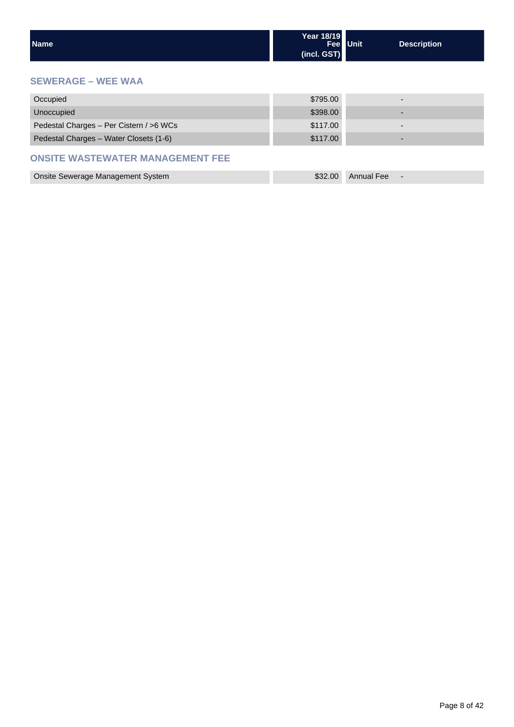| <b>Name</b> | Year 18/19<br>Fee Unit<br>(incl. GST) | <b>Description</b> |
|-------------|---------------------------------------|--------------------|
|-------------|---------------------------------------|--------------------|

#### **SEWERAGE – WEE WAA**

| Occupied                                | \$795.00 |  |
|-----------------------------------------|----------|--|
| Unoccupied                              | \$398.00 |  |
| Pedestal Charges - Per Cistern / >6 WCs | \$117.00 |  |
| Pedestal Charges - Water Closets (1-6)  | \$117.00 |  |

#### **ONSITE WASTEWATER MANAGEMENT FEE**

| Onsite Sewerage Management System |  | \$32.00 Annual Fee |  |
|-----------------------------------|--|--------------------|--|
|-----------------------------------|--|--------------------|--|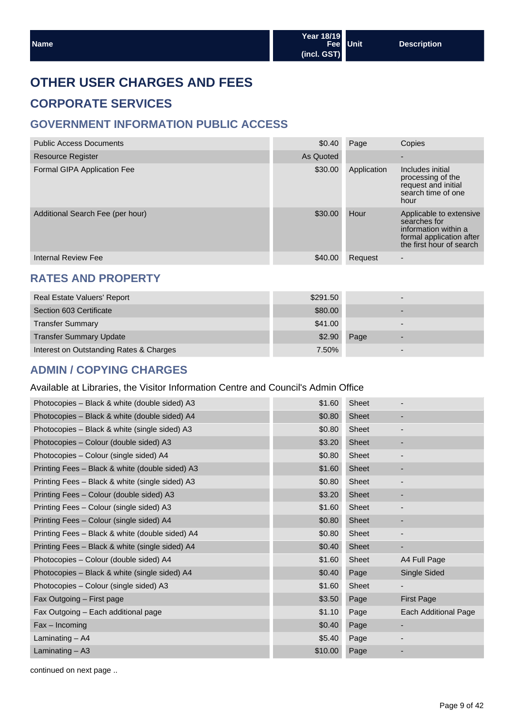## **OTHER USER CHARGES AND FEES**

## **CORPORATE SERVICES**

## **GOVERNMENT INFORMATION PUBLIC ACCESS**

| <b>Public Access Documents</b>   | \$0.40    | Page        | Copies                                                                                                                  |
|----------------------------------|-----------|-------------|-------------------------------------------------------------------------------------------------------------------------|
| <b>Resource Register</b>         | As Quoted |             |                                                                                                                         |
| Formal GIPA Application Fee      | \$30.00   | Application | Includes initial<br>processing of the<br>request and initial<br>search time of one<br>hour                              |
| Additional Search Fee (per hour) | \$30.00   | Hour        | Applicable to extensive<br>searches for<br>information within a<br>formal application after<br>the first hour of search |
| <b>Internal Review Fee</b>       | \$40.00   | Request     | $\overline{\phantom{0}}$                                                                                                |

## **RATES AND PROPERTY**

| Real Estate Valuers' Report             | \$291.50 |      | - |
|-----------------------------------------|----------|------|---|
| Section 603 Certificate                 | \$80.00  |      |   |
| <b>Transfer Summary</b>                 | \$41.00  |      | - |
| <b>Transfer Summary Update</b>          | \$2.90   | Page |   |
| Interest on Outstanding Rates & Charges | $7.50\%$ |      |   |

#### **ADMIN / COPYING CHARGES**

#### Available at Libraries, the Visitor Information Centre and Council's Admin Office

| Photocopies - Black & white (double sided) A3   | \$1.60  | Sheet        |                          |
|-------------------------------------------------|---------|--------------|--------------------------|
| Photocopies - Black & white (double sided) A4   | \$0.80  | Sheet        |                          |
| Photocopies - Black & white (single sided) A3   | \$0.80  | Sheet        | $\overline{\phantom{a}}$ |
| Photocopies - Colour (double sided) A3          | \$3.20  | Sheet        | ٠                        |
| Photocopies - Colour (single sided) A4          | \$0.80  | <b>Sheet</b> |                          |
| Printing Fees - Black & white (double sided) A3 | \$1.60  | Sheet        | ٠                        |
| Printing Fees - Black & white (single sided) A3 | \$0.80  | Sheet        | $\overline{\phantom{a}}$ |
| Printing Fees - Colour (double sided) A3        | \$3.20  | Sheet        | ٠                        |
| Printing Fees - Colour (single sided) A3        | \$1.60  | Sheet        |                          |
| Printing Fees - Colour (single sided) A4        | \$0.80  | Sheet        | ٠                        |
| Printing Fees - Black & white (double sided) A4 | \$0.80  | Sheet        |                          |
| Printing Fees - Black & white (single sided) A4 | \$0.40  | Sheet        | ٠                        |
| Photocopies - Colour (double sided) A4          | \$1.60  | <b>Sheet</b> | A4 Full Page             |
| Photocopies - Black & white (single sided) A4   | \$0.40  | Page         | Single Sided             |
| Photocopies – Colour (single sided) A3          | \$1.60  | Sheet        |                          |
| Fax Outgoing - First page                       | \$3.50  | Page         | <b>First Page</b>        |
| Fax Outgoing - Each additional page             | \$1.10  | Page         | Each Additional Page     |
| $Fax - Incoming$                                | \$0.40  | Page         |                          |
| Laminating - A4                                 | \$5.40  | Page         |                          |
| Laminating - A3                                 | \$10.00 | Page         | ٠                        |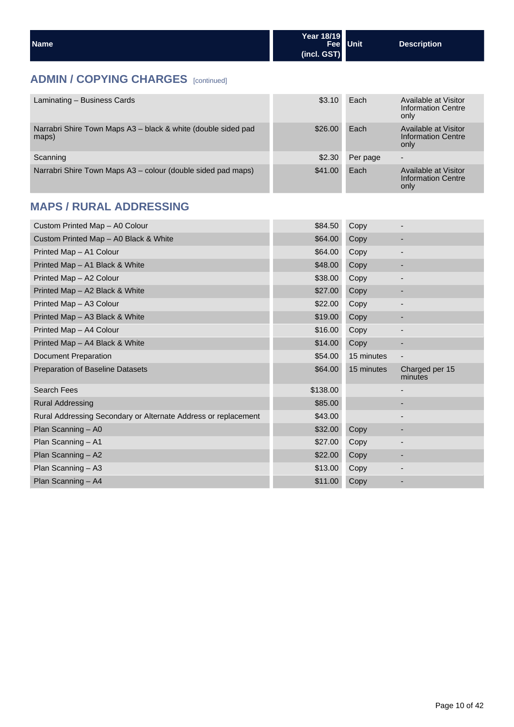| <b>Name</b> | Year 18/19      | Fee Unit | <b>Description</b> |
|-------------|-----------------|----------|--------------------|
|             | $ $ (incl. GST) |          |                    |

## **ADMIN / COPYING CHARGES** [continued]

| Laminating - Business Cards                                            | \$3.10  | Each     | Available at Visitor<br>Information Centre<br>only |
|------------------------------------------------------------------------|---------|----------|----------------------------------------------------|
| Narrabri Shire Town Maps A3 - black & white (double sided pad<br>maps) | \$26.00 | Each     | Available at Visitor<br>Information Centre<br>only |
| Scanning                                                               | \$2.30  | Per page | $\overline{\phantom{0}}$                           |
| Narrabri Shire Town Maps A3 – colour (double sided pad maps)           | \$41.00 | Each     | Available at Visitor<br>Information Centre<br>only |

## **MAPS / RURAL ADDRESSING**

| Custom Printed Map - A0 Colour                                 | \$84.50  | Copy       |                           |
|----------------------------------------------------------------|----------|------------|---------------------------|
| Custom Printed Map - A0 Black & White                          | \$64.00  | Copy       |                           |
| Printed Map - A1 Colour                                        | \$64.00  | Copy       | $\overline{\phantom{a}}$  |
| Printed Map - A1 Black & White                                 | \$48.00  | Copy       | ٠                         |
| Printed Map - A2 Colour                                        | \$38.00  | Copy       |                           |
| Printed Map - A2 Black & White                                 | \$27.00  | Copy       | ٠                         |
| Printed Map - A3 Colour                                        | \$22.00  | Copy       | $\overline{\phantom{a}}$  |
| Printed Map - A3 Black & White                                 | \$19.00  | Copy       | ٠                         |
| Printed Map - A4 Colour                                        | \$16.00  | Copy       |                           |
| Printed Map - A4 Black & White                                 | \$14.00  | Copy       |                           |
| Document Preparation                                           | \$54.00  | 15 minutes | $\overline{\phantom{a}}$  |
| <b>Preparation of Baseline Datasets</b>                        | \$64.00  | 15 minutes | Charged per 15<br>minutes |
| <b>Search Fees</b>                                             | \$138.00 |            |                           |
| <b>Rural Addressing</b>                                        | \$85.00  |            | ٠                         |
| Rural Addressing Secondary or Alternate Address or replacement | \$43.00  |            |                           |
| Plan Scanning - A0                                             | \$32.00  | Copy       |                           |
| Plan Scanning - A1                                             | \$27.00  | Copy       | -                         |
|                                                                |          |            |                           |
| Plan Scanning - A2                                             | \$22.00  | Copy       | ٠                         |
| Plan Scanning - A3                                             | \$13.00  | Copy       | -                         |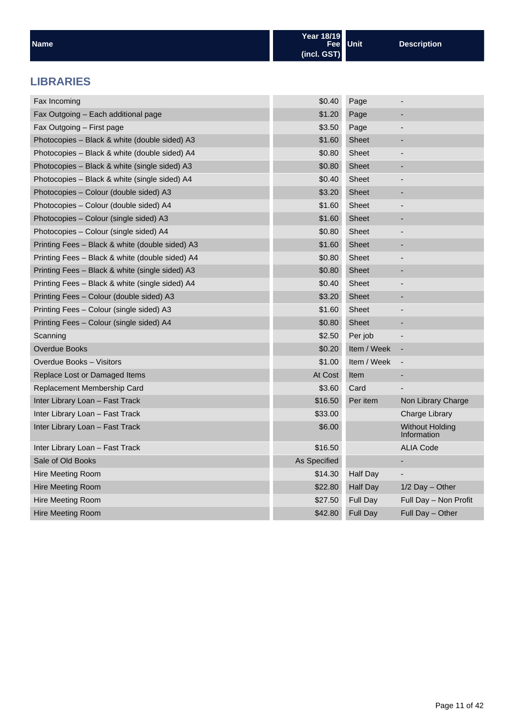| <b>Name</b>                                     | Year 18/19<br>Fee l<br>(incl. GST) | <b>Unit</b>     | <b>Description</b>                    |
|-------------------------------------------------|------------------------------------|-----------------|---------------------------------------|
| <b>LIBRARIES</b>                                |                                    |                 |                                       |
| Fax Incoming                                    | \$0.40                             | Page            | $\overline{\phantom{a}}$              |
| Fax Outgoing - Each additional page             | \$1.20                             | Page            |                                       |
| Fax Outgoing - First page                       | \$3.50                             | Page            | $\overline{\phantom{a}}$              |
| Photocopies - Black & white (double sided) A3   | \$1.60                             | <b>Sheet</b>    | -                                     |
| Photocopies - Black & white (double sided) A4   | \$0.80                             | Sheet           | $\overline{\phantom{a}}$              |
| Photocopies - Black & white (single sided) A3   | \$0.80                             | <b>Sheet</b>    |                                       |
| Photocopies - Black & white (single sided) A4   | \$0.40                             | <b>Sheet</b>    | -                                     |
| Photocopies - Colour (double sided) A3          | \$3.20                             | <b>Sheet</b>    |                                       |
| Photocopies - Colour (double sided) A4          | \$1.60                             | Sheet           | -                                     |
| Photocopies - Colour (single sided) A3          | \$1.60                             | <b>Sheet</b>    |                                       |
| Photocopies - Colour (single sided) A4          | \$0.80                             | Sheet           |                                       |
| Printing Fees - Black & white (double sided) A3 | \$1.60                             | <b>Sheet</b>    | ٠                                     |
| Printing Fees - Black & white (double sided) A4 | \$0.80                             | Sheet           |                                       |
| Printing Fees - Black & white (single sided) A3 | \$0.80                             | <b>Sheet</b>    | ٠                                     |
| Printing Fees - Black & white (single sided) A4 | \$0.40                             | Sheet           |                                       |
| Printing Fees - Colour (double sided) A3        | \$3.20                             | <b>Sheet</b>    | ٠                                     |
| Printing Fees - Colour (single sided) A3        | \$1.60                             | <b>Sheet</b>    |                                       |
| Printing Fees - Colour (single sided) A4        | \$0.80                             | <b>Sheet</b>    | $\overline{\phantom{a}}$              |
| Scanning                                        | \$2.50                             | Per job         |                                       |
| <b>Overdue Books</b>                            | \$0.20                             | Item / Week     | $\overline{\phantom{a}}$              |
| Overdue Books - Visitors                        | \$1.00                             | Item / Week     | $\qquad \qquad \blacksquare$          |
| Replace Lost or Damaged Items                   | At Cost                            | Item            | $\overline{\phantom{a}}$              |
| Replacement Membership Card                     | \$3.60                             | Card            |                                       |
| Inter Library Loan - Fast Track                 | \$16.50                            | Per item        | Non Library Charge                    |
| Inter Library Loan - Fast Track                 | \$33.00                            |                 | Charge Library                        |
| Inter Library Loan - Fast Track                 | \$6.00                             |                 | <b>Without Holding</b><br>Information |
| Inter Library Loan - Fast Track                 | \$16.50                            |                 | <b>ALIA Code</b>                      |
| Sale of Old Books                               | As Specified                       |                 |                                       |
| <b>Hire Meeting Room</b>                        | \$14.30                            | <b>Half Day</b> | -                                     |
| <b>Hire Meeting Room</b>                        | \$22.80                            | <b>Half Day</b> | 1/2 Day - Other                       |
| Hire Meeting Room                               | \$27.50                            | Full Day        | Full Day - Non Profit                 |
| <b>Hire Meeting Room</b>                        | \$42.80                            | Full Day        | Full Day - Other                      |
|                                                 |                                    |                 |                                       |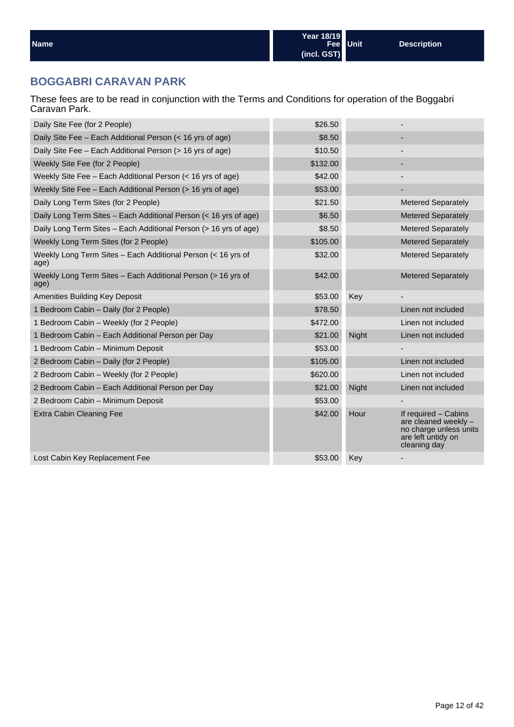## **BOGGABRI CARAVAN PARK**

These fees are to be read in conjunction with the Terms and Conditions for operation of the Boggabri Caravan Park.

| Daily Site Fee (for 2 People)                                        | \$26.50  |       |                                                                                                              |
|----------------------------------------------------------------------|----------|-------|--------------------------------------------------------------------------------------------------------------|
| Daily Site Fee – Each Additional Person (< 16 yrs of age)            | \$8.50   |       |                                                                                                              |
| Daily Site Fee - Each Additional Person (> 16 yrs of age)            | \$10.50  |       |                                                                                                              |
| Weekly Site Fee (for 2 People)                                       | \$132.00 |       |                                                                                                              |
| Weekly Site Fee - Each Additional Person (< 16 yrs of age)           | \$42.00  |       |                                                                                                              |
| Weekly Site Fee - Each Additional Person (> 16 yrs of age)           | \$53.00  |       |                                                                                                              |
| Daily Long Term Sites (for 2 People)                                 | \$21.50  |       | <b>Metered Separately</b>                                                                                    |
| Daily Long Term Sites - Each Additional Person (< 16 yrs of age)     | \$6.50   |       | <b>Metered Separately</b>                                                                                    |
| Daily Long Term Sites – Each Additional Person (> 16 yrs of age)     | \$8.50   |       | <b>Metered Separately</b>                                                                                    |
| Weekly Long Term Sites (for 2 People)                                | \$105.00 |       | <b>Metered Separately</b>                                                                                    |
| Weekly Long Term Sites - Each Additional Person (< 16 yrs of<br>age) | \$32.00  |       | <b>Metered Separately</b>                                                                                    |
| Weekly Long Term Sites - Each Additional Person (> 16 yrs of<br>age) | \$42.00  |       | <b>Metered Separately</b>                                                                                    |
| Amenities Building Key Deposit                                       | \$53.00  | Key   |                                                                                                              |
| 1 Bedroom Cabin - Daily (for 2 People)                               | \$78.50  |       | Linen not included                                                                                           |
| 1 Bedroom Cabin - Weekly (for 2 People)                              | \$472.00 |       | Linen not included                                                                                           |
| 1 Bedroom Cabin - Each Additional Person per Day                     | \$21.00  | Night | Linen not included                                                                                           |
| 1 Bedroom Cabin - Minimum Deposit                                    | \$53.00  |       |                                                                                                              |
| 2 Bedroom Cabin - Daily (for 2 People)                               | \$105.00 |       | Linen not included                                                                                           |
| 2 Bedroom Cabin - Weekly (for 2 People)                              | \$620.00 |       | Linen not included                                                                                           |
| 2 Bedroom Cabin - Each Additional Person per Day                     | \$21.00  | Night | Linen not included                                                                                           |
| 2 Bedroom Cabin - Minimum Deposit                                    | \$53.00  |       |                                                                                                              |
| Extra Cabin Cleaning Fee                                             | \$42.00  | Hour  | If required - Cabins<br>are cleaned weekly -<br>no charge unless units<br>are left untidy on<br>cleaning day |
| Lost Cabin Key Replacement Fee                                       | \$53.00  | Key   |                                                                                                              |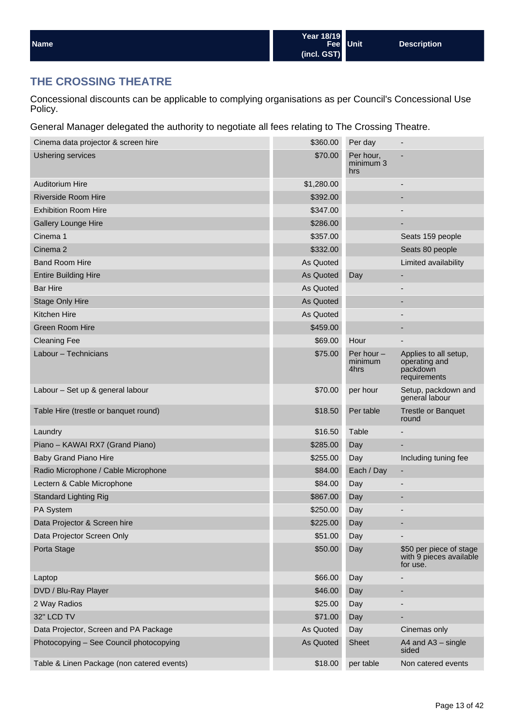| Name | Year 18/19<br>Fee Unit<br>(incl. GST) |  | <b>Description</b> |  |
|------|---------------------------------------|--|--------------------|--|
|------|---------------------------------------|--|--------------------|--|

## **THE CROSSING THEATRE**

Concessional discounts can be applicable to complying organisations as per Council's Concessional Use Policy.

General Manager delegated the authority to negotiate all fees relating to The Crossing Theatre.

| Cinema data projector & screen hire        | \$360.00   | Per day                         |                                                                    |
|--------------------------------------------|------------|---------------------------------|--------------------------------------------------------------------|
| <b>Ushering services</b>                   | \$70.00    | Per hour,<br>minimum 3<br>hrs   |                                                                    |
| <b>Auditorium Hire</b>                     | \$1,280.00 |                                 |                                                                    |
| Riverside Room Hire                        | \$392.00   |                                 |                                                                    |
| <b>Exhibition Room Hire</b>                | \$347.00   |                                 |                                                                    |
| <b>Gallery Lounge Hire</b>                 | \$286.00   |                                 |                                                                    |
| Cinema 1                                   | \$357.00   |                                 | Seats 159 people                                                   |
| Cinema <sub>2</sub>                        | \$332.00   |                                 | Seats 80 people                                                    |
| <b>Band Room Hire</b>                      | As Quoted  |                                 | Limited availability                                               |
| <b>Entire Building Hire</b>                | As Quoted  | Day                             |                                                                    |
| <b>Bar Hire</b>                            | As Quoted  |                                 | -                                                                  |
| <b>Stage Only Hire</b>                     | As Quoted  |                                 | -                                                                  |
| Kitchen Hire                               | As Quoted  |                                 | $\overline{\phantom{a}}$                                           |
| Green Room Hire                            | \$459.00   |                                 |                                                                    |
| <b>Cleaning Fee</b>                        | \$69.00    | Hour                            |                                                                    |
| Labour - Technicians                       | \$75.00    | Per hour $-$<br>minimum<br>4hrs | Applies to all setup,<br>operating and<br>packdown<br>requirements |
| Labour - Set up & general labour           | \$70.00    | per hour                        | Setup, packdown and<br>general labour                              |
| Table Hire (trestle or banquet round)      | \$18.50    | Per table                       | <b>Trestle or Banquet</b><br>round                                 |
| Laundry                                    | \$16.50    | Table                           |                                                                    |
| Piano - KAWAI RX7 (Grand Piano)            | \$285.00   | Day                             |                                                                    |
| <b>Baby Grand Piano Hire</b>               | \$255.00   | Day                             | Including tuning fee                                               |
| Radio Microphone / Cable Microphone        | \$84.00    | Each / Day                      | ٠                                                                  |
| Lectern & Cable Microphone                 | \$84.00    | Day                             |                                                                    |
| <b>Standard Lighting Rig</b>               | \$867.00   | Day                             | -                                                                  |
| PA System                                  | \$250.00   | Day                             |                                                                    |
| Data Projector & Screen hire               | \$225.00   | Day                             |                                                                    |
| Data Projector Screen Only                 | \$51.00    | Day                             |                                                                    |
| Porta Stage                                | \$50.00    | Day                             | \$50 per piece of stage<br>with 9 pieces available<br>for use.     |
| Laptop                                     | \$66.00    | Day                             |                                                                    |
| DVD / Blu-Ray Player                       | \$46.00    | Day                             |                                                                    |
| 2 Way Radios                               | \$25.00    | Day                             |                                                                    |
| 32" LCD TV                                 | \$71.00    | Day                             |                                                                    |
| Data Projector, Screen and PA Package      | As Quoted  | Day                             | Cinemas only                                                       |
| Photocopying - See Council photocopying    | As Quoted  | <b>Sheet</b>                    | A4 and A3 - single<br>sided                                        |
| Table & Linen Package (non catered events) | \$18.00    | per table                       | Non catered events                                                 |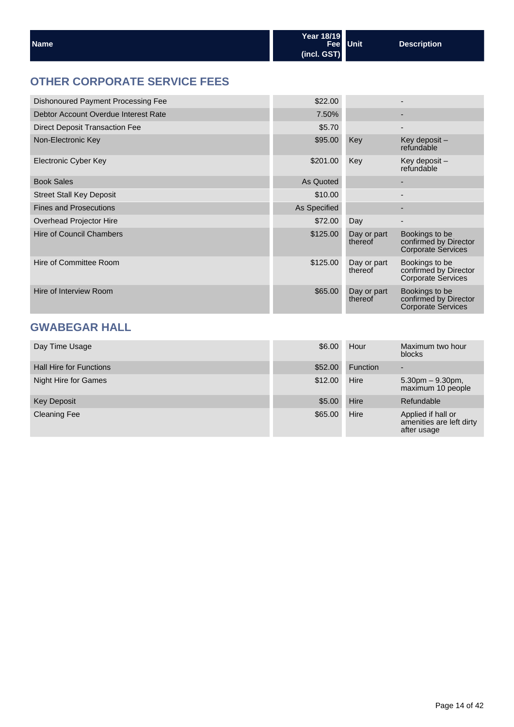| l Name | Year 18/19  | <b>Fee</b> Unit | Description |
|--------|-------------|-----------------|-------------|
|        | (incl. GST) |                 |             |

## **OTHER CORPORATE SERVICE FEES**

| Dishonoured Payment Processing Fee    | \$22.00      |                        |                                                                      |
|---------------------------------------|--------------|------------------------|----------------------------------------------------------------------|
| Debtor Account Overdue Interest Rate  | 7.50%        |                        | -                                                                    |
| <b>Direct Deposit Transaction Fee</b> | \$5.70       |                        | $\overline{\phantom{0}}$                                             |
| Non-Electronic Key                    | \$95.00      | Key                    | Key deposit -<br>refundable                                          |
| Electronic Cyber Key                  | \$201.00     | Key                    | Key deposit -<br>refundable                                          |
| <b>Book Sales</b>                     | As Quoted    |                        | -                                                                    |
| <b>Street Stall Key Deposit</b>       | \$10.00      |                        | $\overline{\phantom{0}}$                                             |
| <b>Fines and Prosecutions</b>         | As Specified |                        | -                                                                    |
| Overhead Projector Hire               | \$72.00      | Day                    | -                                                                    |
| <b>Hire of Council Chambers</b>       | \$125.00     | Day or part<br>thereof | Bookings to be<br>confirmed by Director<br><b>Corporate Services</b> |
| Hire of Committee Room                | \$125.00     | Day or part<br>thereof | Bookings to be<br>confirmed by Director<br><b>Corporate Services</b> |
| Hire of Interview Room                | \$65.00      | Day or part<br>thereof | Bookings to be<br>confirmed by Director<br><b>Corporate Services</b> |

## **GWABEGAR HALL**

| Day Time Usage                 | \$6.00  | Hour            | Maximum two hour<br>blocks                                    |
|--------------------------------|---------|-----------------|---------------------------------------------------------------|
| <b>Hall Hire for Functions</b> | \$52.00 | <b>Function</b> | -                                                             |
| Night Hire for Games           | \$12.00 | Hire            | $5.30$ pm $-9.30$ pm,<br>maximum 10 people                    |
| <b>Key Deposit</b>             | \$5.00  | Hire            | Refundable                                                    |
| <b>Cleaning Fee</b>            | \$65.00 | Hire            | Applied if hall or<br>amenities are left dirty<br>after usage |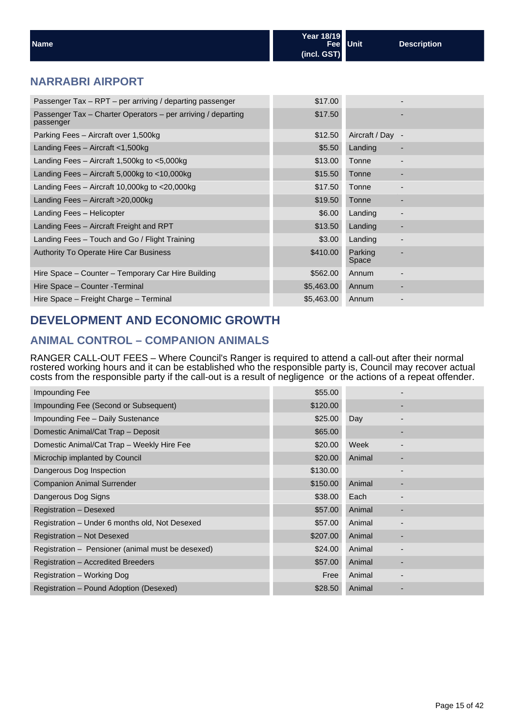| <b>Name</b>                                                               | Year 18/19<br><b>Fee</b><br>(incl. GST) | <b>Unit</b> | <b>Description</b>       |
|---------------------------------------------------------------------------|-----------------------------------------|-------------|--------------------------|
| <b>NARRABRI AIRPORT</b>                                                   |                                         |             |                          |
| Passenger Tax - RPT - per arriving / departing passenger                  | \$17.00                                 |             | $\overline{\phantom{0}}$ |
| Passenger Tax - Charter Operators - per arriving / departing<br>passenger | \$17.50                                 |             | $\overline{\phantom{0}}$ |
|                                                                           |                                         |             |                          |

| Parking Fees - Aircraft over 1,500kg               | \$12.50    | Aircraft / Day - |  |
|----------------------------------------------------|------------|------------------|--|
| Landing Fees $-$ Aircraft $<$ 1,500kg              | \$5.50     | Landing          |  |
| Landing Fees $-$ Aircraft 1,500kg to $<$ 5,000kg   | \$13.00    | Tonne            |  |
| Landing Fees $-$ Aircraft 5,000kg to $<$ 10,000kg  | \$15.50    | Tonne            |  |
| Landing Fees $-$ Aircraft 10,000kg to $<$ 20,000kg | \$17.50    | Tonne            |  |
| Landing Fees - Aircraft > 20,000kg                 | \$19.50    | Tonne            |  |
| Landing Fees - Helicopter                          | \$6.00     | Landing          |  |
| Landing Fees - Aircraft Freight and RPT            | \$13.50    | Landing          |  |
| Landing Fees - Touch and Go / Flight Training      | \$3.00     | Landing          |  |
| <b>Authority To Operate Hire Car Business</b>      | \$410.00   | Parking<br>Space |  |
| Hire Space - Counter - Temporary Car Hire Building | \$562.00   | Annum            |  |
| Hire Space - Counter - Terminal                    | \$5,463.00 | Annum            |  |
| Hire Space - Freight Charge - Terminal             | \$5,463.00 | Annum            |  |

## **DEVELOPMENT AND ECONOMIC GROWTH**

## **ANIMAL CONTROL – COMPANION ANIMALS**

RANGER CALL-OUT FEES – Where Council's Ranger is required to attend a call-out after their normal rostered working hours and it can be established who the responsible party is, Council may recover actual costs from the responsible party if the call-out is a result of negligence or the actions of a repeat offender.

| Impounding Fee                                    | \$55.00  |        |                          |
|---------------------------------------------------|----------|--------|--------------------------|
| Impounding Fee (Second or Subsequent)             | \$120.00 |        | ٠                        |
| Impounding Fee - Daily Sustenance                 | \$25.00  | Day    | -                        |
| Domestic Animal/Cat Trap - Deposit                | \$65.00  |        | -                        |
| Domestic Animal/Cat Trap - Weekly Hire Fee        | \$20.00  | Week   |                          |
| Microchip implanted by Council                    | \$20.00  | Animal |                          |
| Dangerous Dog Inspection                          | \$130.00 |        |                          |
| <b>Companion Animal Surrender</b>                 | \$150.00 | Animal | ۰                        |
| Dangerous Dog Signs                               | \$38.00  | Each   |                          |
| Registration - Desexed                            | \$57.00  | Animal | ٠                        |
| Registration - Under 6 months old, Not Desexed    | \$57.00  | Animal | $\overline{\phantom{0}}$ |
| Registration - Not Desexed                        | \$207.00 | Animal | ٠                        |
| Registration - Pensioner (animal must be desexed) | \$24.00  | Animal |                          |
| Registration - Accredited Breeders                | \$57.00  | Animal | ٠                        |
| Registration – Working Dog                        | Free     | Animal | -                        |
| Registration - Pound Adoption (Desexed)           | \$28.50  | Animal |                          |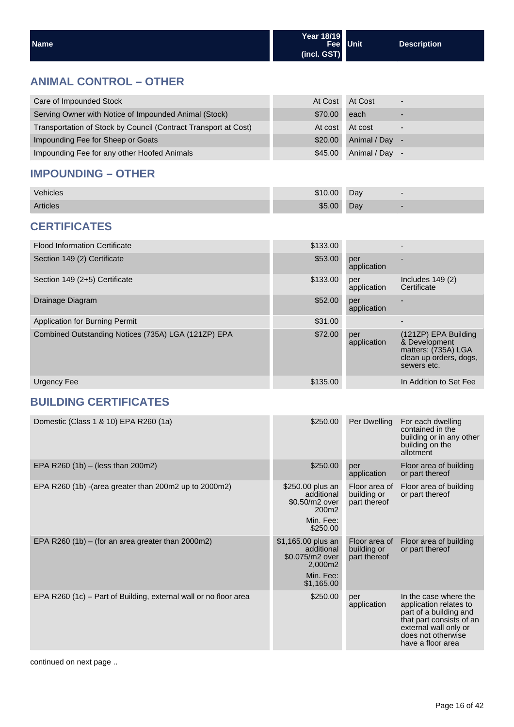| <b>Name</b> | Year 18/19                   | Fee Unit | <b>Description</b> |
|-------------|------------------------------|----------|--------------------|
|             | $\left  \right $ (incl. GST) |          |                    |

## **ANIMAL CONTROL – OTHER**

| Care of Impounded Stock                                         | At Cost | At Cost      | $\overline{\phantom{0}}$ |
|-----------------------------------------------------------------|---------|--------------|--------------------------|
| Serving Owner with Notice of Impounded Animal (Stock)           | \$70.00 | each         |                          |
| Transportation of Stock by Council (Contract Transport at Cost) | At cost | At cost      |                          |
| Impounding Fee for Sheep or Goats                               | \$20.00 | Animal / Day |                          |
| Impounding Fee for any other Hoofed Animals                     | \$45.00 | Animal / Day |                          |

## **IMPOUNDING – OTHER**

| Vehicles        | \$10.00 | Day | $\overline{\phantom{0}}$ |
|-----------------|---------|-----|--------------------------|
| <b>Articles</b> | \$5.00  | Day |                          |

## **CERTIFICATES**

| <b>Flood Information Certificate</b>                | \$133.00 |                    | -                                                                                                     |
|-----------------------------------------------------|----------|--------------------|-------------------------------------------------------------------------------------------------------|
| Section 149 (2) Certificate                         | \$53.00  | per<br>application |                                                                                                       |
| Section 149 (2+5) Certificate                       | \$133.00 | per<br>application | Includes $149(2)$<br>Certificate                                                                      |
| Drainage Diagram                                    | \$52.00  | per<br>application |                                                                                                       |
| Application for Burning Permit                      | \$31.00  |                    |                                                                                                       |
| Combined Outstanding Notices (735A) LGA (121ZP) EPA | \$72.00  | per<br>application | (121ZP) EPA Building<br>& Development<br>matters; (735A) LGA<br>clean up orders, dogs,<br>sewers etc. |
| Urgency Fee                                         | \$135.00 |                    | In Addition to Set Fee                                                                                |

## **BUILDING CERTIFICATES**

| Domestic (Class 1 & 10) EPA R260 (1a)                            | \$250.00                                                                                  | Per Dwelling                                 | For each dwelling<br>contained in the<br>building or in any other<br>building on the<br>allotment                                                                         |
|------------------------------------------------------------------|-------------------------------------------------------------------------------------------|----------------------------------------------|---------------------------------------------------------------------------------------------------------------------------------------------------------------------------|
| EPA R260 (1b) - (less than 200m2)                                | \$250.00                                                                                  | per<br>application                           | Floor area of building<br>or part thereof                                                                                                                                 |
| EPA R260 (1b) - (area greater than 200 m2 up to 2000 m2)         | \$250.00 plus an<br>additional<br>\$0.50/m2 over<br>200m2<br>Min. Fee:<br>\$250.00        | Floor area of<br>building or<br>part thereof | Floor area of building<br>or part thereof                                                                                                                                 |
| EPA R260 (1b) $-$ (for an area greater than 2000m2)              | \$1,165.00 plus an<br>additional<br>\$0.075/m2 over<br>2,000m2<br>Min. Fee:<br>\$1,165.00 | Floor area of<br>building or<br>part thereof | Floor area of building<br>or part thereof                                                                                                                                 |
| EPA R260 (1c) – Part of Building, external wall or no floor area | \$250.00                                                                                  | per<br>application                           | In the case where the<br>application relates to<br>part of a building and<br>that part consists of an<br>external wall only or<br>does not otherwise<br>have a floor area |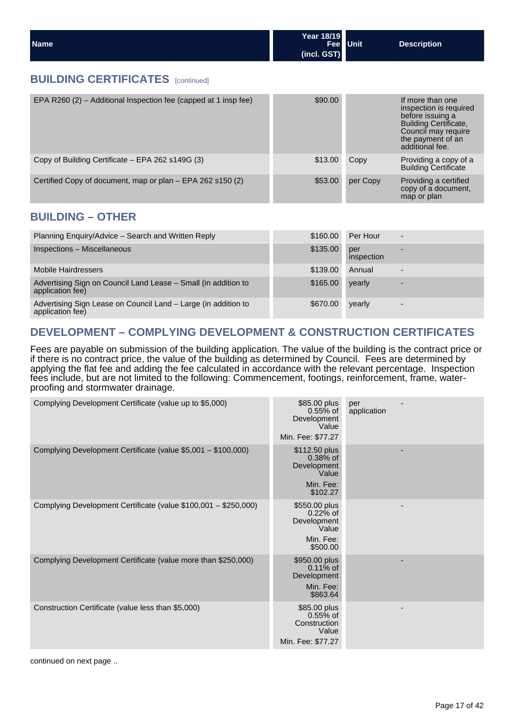| Name | Year 18/19  | Fee Unit | <b>Description</b> |
|------|-------------|----------|--------------------|
|      | (incl. GST) |          |                    |

#### **BUILDING CERTIFICATES** [continued]

| EPA R260 $(2)$ – Additional Inspection fee (capped at 1 insp fee) | \$90.00 |          | If more than one<br>inspection is required<br>before issuing a<br><b>Building Certificate,</b><br>Council may require<br>the payment of an<br>additional fee. |
|-------------------------------------------------------------------|---------|----------|---------------------------------------------------------------------------------------------------------------------------------------------------------------|
| Copy of Building Certificate – EPA 262 s149G (3)                  | \$13.00 | Copy     | Providing a copy of a<br><b>Building Certificate</b>                                                                                                          |
| Certified Copy of document, map or plan - EPA 262 s150 (2)        | \$53.00 | per Copy | Providing a certified<br>copy of a document,<br>map or plan                                                                                                   |

#### **BUILDING – OTHER**

| Planning Enquiry/Advice - Search and Written Reply                                 | \$160.00 | Per Hour          | $\overline{\phantom{a}}$ |
|------------------------------------------------------------------------------------|----------|-------------------|--------------------------|
| Inspections - Miscellaneous                                                        | \$135.00 | per<br>inspection |                          |
| <b>Mobile Hairdressers</b>                                                         | \$139.00 | Annual            |                          |
| Advertising Sign on Council Land Lease - Small (in addition to<br>application fee) | \$165,00 | yearly            |                          |
| Advertising Sign Lease on Council Land – Large (in addition to<br>application fee) | \$670.00 | yearly            |                          |

## **DEVELOPMENT – COMPLYING DEVELOPMENT & CONSTRUCTION CERTIFICATES**

Fees are payable on submission of the building application. The value of the building is the contract price or if there is no contract price, the value of the building as determined by Council. Fees are determined by applying the flat fee and adding the fee calculated in accordance with the relevant percentage. Inspection fees include, but are not limited to the following: Commencement, footings, reinforcement, frame, waterproofing and stormwater drainage.

| Complying Development Certificate (value up to \$5,000)         | \$85.00 plus<br>$0.55%$ of<br>Development<br>Value<br>Min. Fee: \$77.27      | per<br>application |
|-----------------------------------------------------------------|------------------------------------------------------------------------------|--------------------|
| Complying Development Certificate (value \$5,001 - \$100,000)   | \$112.50 plus<br>$0.38%$ of<br>Development<br>Value<br>Min. Fee:<br>\$102.27 |                    |
| Complying Development Certificate (value \$100,001 - \$250,000) | \$550.00 plus<br>$0.22%$ of<br>Development<br>Value<br>Min. Fee:<br>\$500.00 |                    |
| Complying Development Certificate (value more than \$250,000)   | \$950.00 plus<br>$0.11\%$ of<br>Development<br>Min. Fee:<br>\$863.64         |                    |
| Construction Certificate (value less than \$5,000)              | \$85.00 plus<br>$0.55%$ of<br>Construction<br>Value<br>Min. Fee: \$77.27     | ٠                  |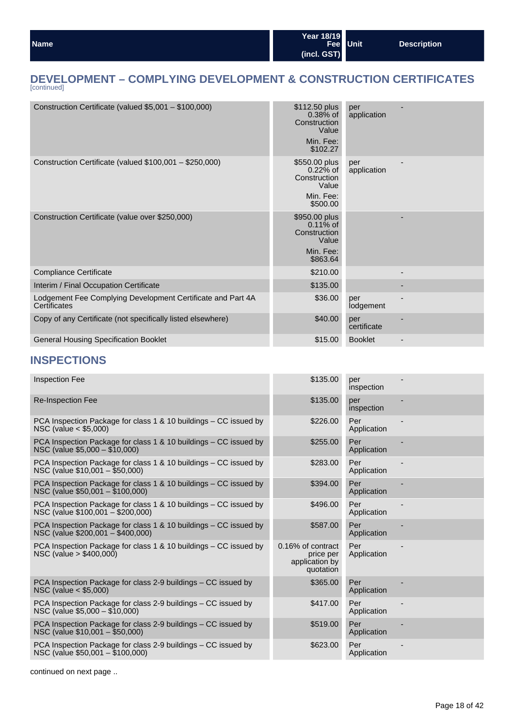## **DEVELOPMENT – COMPLYING DEVELOPMENT & CONSTRUCTION CERTIFICATES** [continued]

| Construction Certificate (valued \$5,001 - \$100,000)                       | $$112.50$ plus<br>$0.38%$ of<br>Construction<br>Value<br>Min. Fee:<br>\$102.27 | per<br>application |  |
|-----------------------------------------------------------------------------|--------------------------------------------------------------------------------|--------------------|--|
| Construction Certificate (valued \$100,001 - \$250,000)                     | \$550.00 plus<br>$0.22%$ of<br>Construction<br>Value<br>Min. Fee:<br>\$500.00  | per<br>application |  |
| Construction Certificate (value over \$250,000)                             | \$950.00 plus<br>$0.11\%$ of<br>Construction<br>Value<br>Min. Fee:<br>\$863.64 |                    |  |
| Compliance Certificate                                                      | \$210.00                                                                       |                    |  |
| Interim / Final Occupation Certificate                                      | \$135.00                                                                       |                    |  |
| Lodgement Fee Complying Development Certificate and Part 4A<br>Certificates | \$36.00                                                                        | per<br>lodgement   |  |
| Copy of any Certificate (not specifically listed elsewhere)                 | \$40.00                                                                        | per<br>certificate |  |
| <b>General Housing Specification Booklet</b>                                | \$15.00                                                                        | <b>Booklet</b>     |  |

#### **INSPECTIONS**

| <b>Inspection Fee</b>                                                                                 | \$135.00                                                      | per<br>inspection  |  |
|-------------------------------------------------------------------------------------------------------|---------------------------------------------------------------|--------------------|--|
| <b>Re-Inspection Fee</b>                                                                              | \$135.00                                                      | per<br>inspection  |  |
| PCA Inspection Package for class 1 & 10 buildings – CC issued by<br>$NSC$ (value $< $5,000$ )         | \$226.00                                                      | Per<br>Application |  |
| PCA Inspection Package for class 1 & 10 buildings - CC issued by<br>NSC (value \$5,000 - \$10,000)    | \$255.00                                                      | Per<br>Application |  |
| PCA Inspection Package for class 1 & 10 buildings – CC issued by<br>NSC (value \$10,001 - \$50,000)   | \$283.00                                                      | Per<br>Application |  |
| PCA Inspection Package for class 1 & 10 buildings – CC issued by<br>NSC (value \$50,001 - \$100,000)  | \$394.00                                                      | Per<br>Application |  |
| PCA Inspection Package for class 1 & 10 buildings – CC issued by<br>NSC (value \$100,001 - \$200,000) | \$496.00                                                      | Per<br>Application |  |
| PCA Inspection Package for class 1 & 10 buildings - CC issued by<br>NSC (value \$200,001 - \$400,000) | \$587.00                                                      | Per<br>Application |  |
| PCA Inspection Package for class 1 & 10 buildings – CC issued by<br>$NSC$ (value $> $400,000$ )       | 0.16% of contract<br>price per<br>application by<br>quotation | Per<br>Application |  |
| PCA Inspection Package for class 2-9 buildings - CC issued by<br>NSC (value < \$5,000)                | \$365.00                                                      | Per<br>Application |  |
| PCA Inspection Package for class 2-9 buildings – CC issued by<br>NSC (value \$5,000 - \$10,000)       | \$417.00                                                      | Per<br>Application |  |
| PCA Inspection Package for class 2-9 buildings - CC issued by<br>NSC (value \$10,001 - \$50,000)      | \$519.00                                                      | Per<br>Application |  |
| PCA Inspection Package for class 2-9 buildings – CC issued by<br>NSC (value \$50,001 - \$100,000)     | \$623.00                                                      | Per<br>Application |  |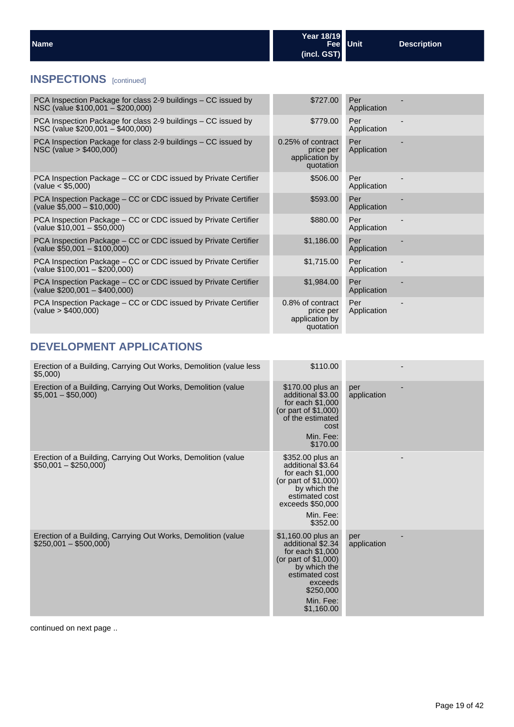| <b>Name</b> | Year 18/19  | Fee Unit | <b>Description</b> |
|-------------|-------------|----------|--------------------|
|             | (incl. GST) |          |                    |

## **INSPECTIONS** [continued]

| PCA Inspection Package for class 2-9 buildings – CC issued by<br>NSC (value \$100,001 - \$200,000)           | \$727.00                                                      | Per<br>Application |  |
|--------------------------------------------------------------------------------------------------------------|---------------------------------------------------------------|--------------------|--|
| PCA Inspection Package for class 2-9 buildings – CC issued by<br>NSC (value \$200,001 - \$400,000)           | \$779.00                                                      | Per<br>Application |  |
| PCA Inspection Package for class 2-9 buildings – CC issued by<br>$NSC$ (value $> $400,000$ )                 | 0.25% of contract<br>price per<br>application by<br>quotation | Per<br>Application |  |
| PCA Inspection Package – CC or CDC issued by Private Certifier<br>$\text{(value} < $5,000)$                  | \$506.00                                                      | Per<br>Application |  |
| PCA Inspection Package - CC or CDC issued by Private Certifier<br>$\left($ value \$5,000 - \$10,000)         | \$593.00                                                      | Per<br>Application |  |
| PCA Inspection Package – CC or CDC issued by Private Certifier<br>$(value $10,001 - $50,000)$                | \$880.00                                                      | Per<br>Application |  |
| PCA Inspection Package - CC or CDC issued by Private Certifier<br>$\frac{1}{2}$ (value \$50,001 - \$100,000) | \$1,186.00                                                    | Per<br>Application |  |
| PCA Inspection Package – CC or CDC issued by Private Certifier<br>$\left($ value \$100,001 - \$200,000)      | \$1,715.00                                                    | Per<br>Application |  |
| PCA Inspection Package – CC or CDC issued by Private Certifier<br>$(value $200,001 - $400,000)$              | \$1,984.00                                                    | Per<br>Application |  |
| PCA Inspection Package – CC or CDC issued by Private Certifier<br>$\text{(value} > $400,000)$                | 0.8% of contract<br>price per<br>application by<br>quotation  | Per<br>Application |  |

## **DEVELOPMENT APPLICATIONS**

| Erection of a Building, Carrying Out Works, Demolition (value less<br>\$5,000)         | \$110.00                                                                                                                                                                    |                    |
|----------------------------------------------------------------------------------------|-----------------------------------------------------------------------------------------------------------------------------------------------------------------------------|--------------------|
| Erection of a Building, Carrying Out Works, Demolition (value<br>$$5,001 - $50,000$    | \$170.00 plus an<br>additional \$3.00<br>for each $$1,000$<br>(or part of \$1,000)<br>of the estimated<br>cost<br>Min. Fee:<br>\$170.00                                     | per<br>application |
| Erection of a Building, Carrying Out Works, Demolition (value<br>$$50,001 - $250,000]$ | \$352.00 plus an<br>additional \$3.64<br>for each $$1.000$<br>(or part of \$1,000)<br>by which the<br>estimated cost<br>exceeds \$50,000<br>Min. Fee:<br>\$352.00           |                    |
| Erection of a Building, Carrying Out Works, Demolition (value<br>$$250,001 - $500,000$ | \$1,160.00 plus an<br>additional \$2.34<br>for each $$1,000$<br>(or part of $$1,000$ )<br>by which the<br>estimated cost<br>exceeds<br>\$250,000<br>Min. Fee:<br>\$1,160.00 | per<br>application |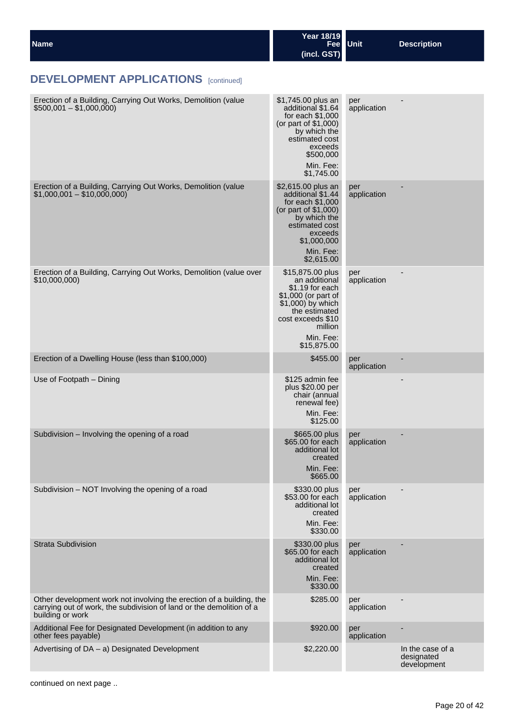| <b>Name</b> | Year 18/19<br>Fee Unit | Description |
|-------------|------------------------|-------------|
|             | (incl. GST)            |             |

| Erection of a Building, Carrying Out Works, Demolition (value<br>$$500,001 - $1,000,000$                                                                         | \$1,745.00 plus an<br>additional \$1.64<br>for each $$1,000$<br>(or part of \$1,000)<br>by which the<br>estimated cost<br>exceeds<br>\$500,000<br>Min. Fee:<br>\$1,745.00     | per<br>application |                                               |
|------------------------------------------------------------------------------------------------------------------------------------------------------------------|-------------------------------------------------------------------------------------------------------------------------------------------------------------------------------|--------------------|-----------------------------------------------|
| Erection of a Building, Carrying Out Works, Demolition (value<br>$$1,000,001 - $10,000,000]$                                                                     | \$2,615.00 plus an<br>additional \$1.44<br>for each \$1,000<br>(or part of \$1,000)<br>by which the<br>estimated cost<br>exceeds<br>\$1,000,000<br>Min. Fee:<br>\$2,615.00    | per<br>application |                                               |
| Erection of a Building, Carrying Out Works, Demolition (value over<br>\$10,000,000)                                                                              | \$15,875.00 plus<br>an additional<br>\$1.19 for each<br>\$1,000 (or part of<br>\$1,000) by which<br>the estimated<br>cost exceeds \$10<br>million<br>Min. Fee:<br>\$15,875.00 | per<br>application |                                               |
| Erection of a Dwelling House (less than \$100,000)                                                                                                               | \$455.00                                                                                                                                                                      | per<br>application |                                               |
| Use of Footpath - Dining                                                                                                                                         | \$125 admin fee<br>plus \$20.00 per<br>chair (annual<br>renewal fee)<br>Min. Fee:<br>\$125.00                                                                                 |                    | -                                             |
| Subdivision - Involving the opening of a road                                                                                                                    | \$665.00 plus<br>\$65.00 for each<br>additional lot<br>created<br>Min. Fee:<br>\$665.00                                                                                       | per<br>application |                                               |
| Subdivision - NOT Involving the opening of a road                                                                                                                | \$330.00 plus<br>\$53.00 for each<br>additional lot<br>created<br>Min. Fee:<br>\$330.00                                                                                       | per<br>application |                                               |
| <b>Strata Subdivision</b>                                                                                                                                        | \$330.00 plus<br>\$65.00 for each<br>additional lot<br>created<br>Min. Fee:<br>\$330.00                                                                                       | per<br>application |                                               |
| Other development work not involving the erection of a building, the<br>carrying out of work, the subdivision of land or the demolition of a<br>building or work | \$285.00                                                                                                                                                                      | per<br>application |                                               |
| Additional Fee for Designated Development (in addition to any<br>other fees payable)                                                                             | \$920.00                                                                                                                                                                      | per<br>application |                                               |
| Advertising of DA - a) Designated Development                                                                                                                    | \$2,220.00                                                                                                                                                                    |                    | In the case of a<br>designated<br>development |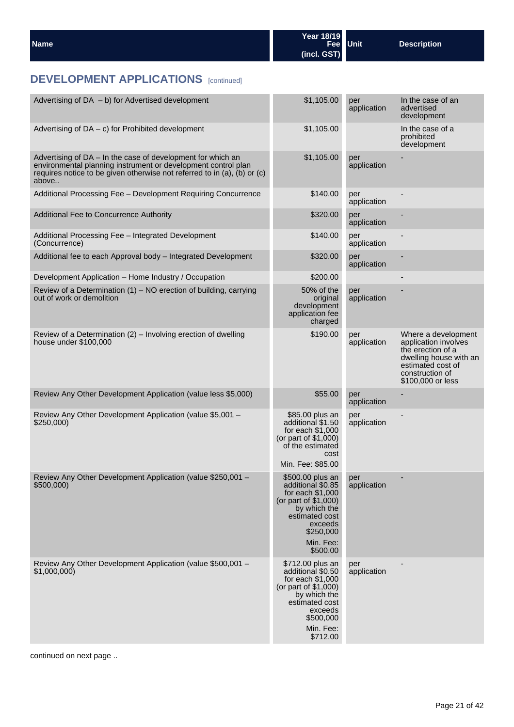| Name | Year 18/19  | Fee Unit | <b>Description</b> |
|------|-------------|----------|--------------------|
|      | (incl. GST) |          |                    |

| Advertising of DA - b) for Advertised development                                                                                                                                                                 | \$1,105.00                                                                                                                                                            | per<br>application | In the case of an<br>advertised<br>development                                                                                                          |
|-------------------------------------------------------------------------------------------------------------------------------------------------------------------------------------------------------------------|-----------------------------------------------------------------------------------------------------------------------------------------------------------------------|--------------------|---------------------------------------------------------------------------------------------------------------------------------------------------------|
| Advertising of $DA - c$ ) for Prohibited development                                                                                                                                                              | \$1,105.00                                                                                                                                                            |                    | In the case of a<br>prohibited<br>development                                                                                                           |
| Advertising of DA - In the case of development for which an<br>environmental planning instrument or development control plan<br>requires notice to be given otherwise not referred to in (a), (b) or (c)<br>above | \$1,105.00                                                                                                                                                            | per<br>application |                                                                                                                                                         |
| Additional Processing Fee - Development Requiring Concurrence                                                                                                                                                     | \$140.00                                                                                                                                                              | per<br>application |                                                                                                                                                         |
| Additional Fee to Concurrence Authority                                                                                                                                                                           | \$320.00                                                                                                                                                              | per<br>application |                                                                                                                                                         |
| Additional Processing Fee - Integrated Development<br>(Concurrence)                                                                                                                                               | \$140.00                                                                                                                                                              | per<br>application |                                                                                                                                                         |
| Additional fee to each Approval body - Integrated Development                                                                                                                                                     | \$320.00                                                                                                                                                              | per<br>application |                                                                                                                                                         |
| Development Application - Home Industry / Occupation                                                                                                                                                              | \$200.00                                                                                                                                                              |                    |                                                                                                                                                         |
| Review of a Determination $(1)$ – NO erection of building, carrying<br>out of work or demolition                                                                                                                  | 50% of the<br>original<br>development<br>application fee<br>charged                                                                                                   | per<br>application |                                                                                                                                                         |
| Review of a Determination (2) - Involving erection of dwelling<br>house under \$100,000                                                                                                                           | \$190.00                                                                                                                                                              | per<br>application | Where a development<br>application involves<br>the erection of a<br>dwelling house with an<br>estimated cost of<br>construction of<br>\$100,000 or less |
| Review Any Other Development Application (value less \$5,000)                                                                                                                                                     | \$55.00                                                                                                                                                               | per<br>application |                                                                                                                                                         |
| Review Any Other Development Application (value \$5,001 -<br>\$250,000                                                                                                                                            | \$85.00 plus an<br>additional \$1.50<br>for each \$1,000<br>(or part of \$1,000)<br>of the estimated<br>cost<br>Min. Fee: \$85.00                                     | per<br>application |                                                                                                                                                         |
| Review Any Other Development Application (value \$250,001 -<br>\$500,000)                                                                                                                                         | \$500.00 plus an<br>additional \$0.85<br>for each \$1,000<br>(or part of \$1,000)<br>by which the<br>estimated cost<br>exceeds<br>\$250,000<br>Min. Fee:<br>\$500.00  | per<br>application |                                                                                                                                                         |
| Review Any Other Development Application (value \$500,001 -<br>\$1,000,000)                                                                                                                                       | \$712.00 plus an<br>additional \$0.50<br>for each $$1,000$<br>(or part of \$1,000)<br>by which the<br>estimated cost<br>exceeds<br>\$500,000<br>Min. Fee:<br>\$712.00 | per<br>application |                                                                                                                                                         |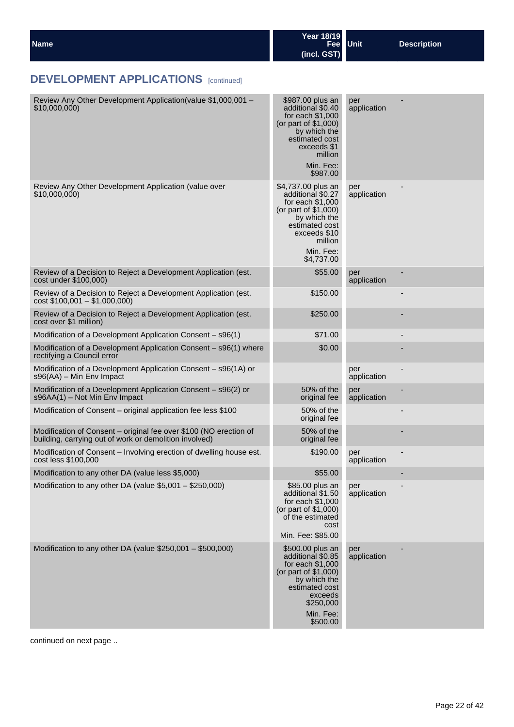| <b>Name</b> | Year 18/19<br>Fee Unit<br>(incl. GST) | <b>Description</b> |
|-------------|---------------------------------------|--------------------|
|             |                                       |                    |

| Review Any Other Development Application(value \$1,000,001 -<br>\$10,000,000                                                | \$987.00 plus an<br>additional \$0.40<br>for each \$1,000<br>(or part of \$1,000)<br>by which the<br>estimated cost<br>exceeds \$1<br>million<br>Min. Fee:<br>\$987.00      | per<br>application |  |
|-----------------------------------------------------------------------------------------------------------------------------|-----------------------------------------------------------------------------------------------------------------------------------------------------------------------------|--------------------|--|
| Review Any Other Development Application (value over<br>\$10,000,000                                                        | \$4,737.00 plus an<br>additional \$0.27<br>for each \$1,000<br>(or part of \$1,000)<br>by which the<br>estimated cost<br>exceeds \$10<br>million<br>Min. Fee:<br>\$4,737.00 | per<br>application |  |
| Review of a Decision to Reject a Development Application (est.<br>cost under \$100,000)                                     | \$55.00                                                                                                                                                                     | per<br>application |  |
| Review of a Decision to Reject a Development Application (est.<br>$cost$ \$100,001 - \$1,000,000)                           | \$150.00                                                                                                                                                                    |                    |  |
| Review of a Decision to Reject a Development Application (est.<br>cost over \$1 million)                                    | \$250.00                                                                                                                                                                    |                    |  |
| Modification of a Development Application Consent - s96(1)                                                                  | \$71.00                                                                                                                                                                     |                    |  |
| Modification of a Development Application Consent - s96(1) where<br>rectifying a Council error                              | \$0.00                                                                                                                                                                      |                    |  |
| Modification of a Development Application Consent - s96(1A) or<br>s96(AA) - Min Env Impact                                  |                                                                                                                                                                             | per<br>application |  |
| Modification of a Development Application Consent - s96(2) or<br>s96AA(1) - Not Min Env Impact                              | 50% of the<br>original fee                                                                                                                                                  | per<br>application |  |
| Modification of Consent – original application fee less \$100                                                               | 50% of the<br>original fee                                                                                                                                                  |                    |  |
| Modification of Consent - original fee over \$100 (NO erection of<br>building, carrying out of work or demolition involved) | 50% of the<br>original fee                                                                                                                                                  |                    |  |
| Modification of Consent – Involving erection of dwelling house est.<br>cost less \$100,000                                  | \$190.00                                                                                                                                                                    | per<br>application |  |
| Modification to any other DA (value less \$5,000)                                                                           | \$55.00                                                                                                                                                                     |                    |  |
| Modification to any other DA (value \$5,001 - \$250,000)                                                                    | \$85.00 plus an<br>additional \$1.50<br>for each $$1,000$<br>(or part of \$1,000)<br>of the estimated<br>cost<br>Min. Fee: \$85.00                                          | per<br>application |  |
| Modification to any other DA (value \$250,001 - \$500,000)                                                                  | \$500.00 plus an<br>additional \$0.85<br>for each $$1,000$<br>(or part of \$1,000)<br>by which the<br>estimated cost<br>exceeds<br>\$250,000<br>Min. Fee:<br>\$500.00       | per<br>application |  |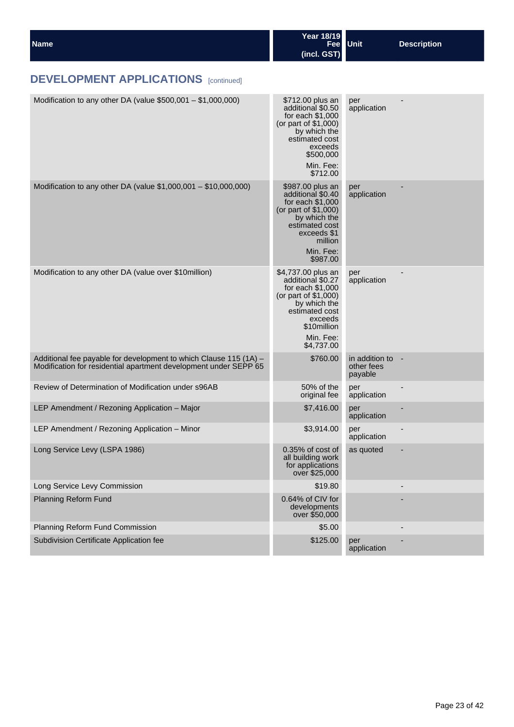| <b>Name</b> | Year 18/19<br>Fee Unit | <b>Description</b> |
|-------------|------------------------|--------------------|
|             | (incl. GST)            |                    |

| Modification to any other DA (value $$500,001 - $1,000,000$ )                                                                         | \$712.00 plus an                                                                                                                                                           | per                                     |                          |
|---------------------------------------------------------------------------------------------------------------------------------------|----------------------------------------------------------------------------------------------------------------------------------------------------------------------------|-----------------------------------------|--------------------------|
|                                                                                                                                       | additional \$0.50<br>for each \$1,000<br>(or part of \$1,000)<br>by which the<br>estimated cost<br>exceeds<br>\$500,000<br>Min. Fee:<br>\$712.00                           | application                             |                          |
| Modification to any other DA (value \$1,000,001 - \$10,000,000)                                                                       | \$987.00 plus an<br>additional \$0.40<br>for each \$1,000<br>(or part of \$1,000)<br>by which the<br>estimated cost<br>exceeds \$1<br>million<br>Min. Fee:<br>\$987.00     | per<br>application                      |                          |
| Modification to any other DA (value over \$10million)                                                                                 | \$4,737.00 plus an<br>additional \$0.27<br>for each \$1,000<br>(or part of \$1,000)<br>by which the<br>estimated cost<br>exceeds<br>\$10million<br>Min. Fee:<br>\$4,737.00 | per<br>application                      |                          |
| Additional fee payable for development to which Clause 115 (1A) -<br>Modification for residential apartment development under SEPP 65 | \$760.00                                                                                                                                                                   | in addition to<br>other fees<br>payable | $\overline{\phantom{a}}$ |
| Review of Determination of Modification under s96AB                                                                                   | 50% of the<br>original fee                                                                                                                                                 | per<br>application                      |                          |
| LEP Amendment / Rezoning Application - Major                                                                                          | \$7,416.00                                                                                                                                                                 | per<br>application                      |                          |
| LEP Amendment / Rezoning Application - Minor                                                                                          | \$3,914.00                                                                                                                                                                 | per<br>application                      |                          |
| Long Service Levy (LSPA 1986)                                                                                                         | 0.35% of cost of<br>all building work<br>for applications<br>over \$25,000                                                                                                 | as quoted                               |                          |
| Long Service Levy Commission                                                                                                          | \$19.80                                                                                                                                                                    |                                         |                          |
| Planning Reform Fund                                                                                                                  | 0.64% of CIV for<br>developments<br>over \$50,000                                                                                                                          |                                         |                          |
| Planning Reform Fund Commission                                                                                                       | \$5.00                                                                                                                                                                     |                                         |                          |
| Subdivision Certificate Application fee                                                                                               | \$125.00                                                                                                                                                                   | per<br>application                      |                          |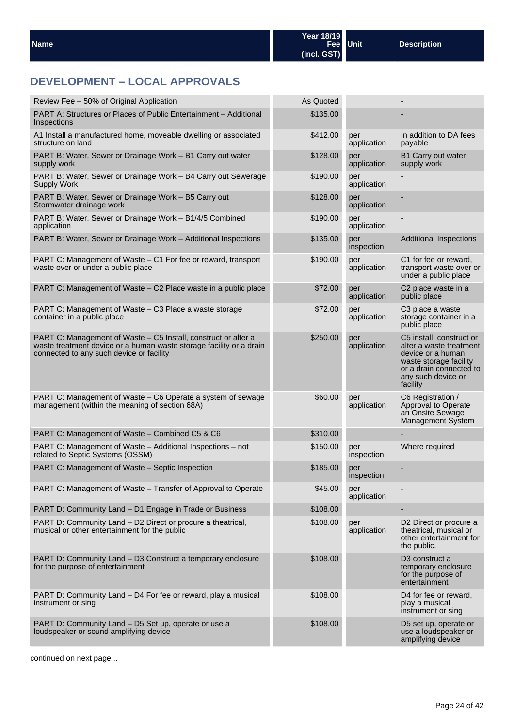## **DEVELOPMENT – LOCAL APPROVALS**

| Review Fee - 50% of Original Application                                                                                                                                          | As Quoted |                    |                                                                                                                                                                 |
|-----------------------------------------------------------------------------------------------------------------------------------------------------------------------------------|-----------|--------------------|-----------------------------------------------------------------------------------------------------------------------------------------------------------------|
| PART A: Structures or Places of Public Entertainment - Additional<br>Inspections                                                                                                  | \$135.00  |                    |                                                                                                                                                                 |
| A1 Install a manufactured home, moveable dwelling or associated<br>structure on land                                                                                              | \$412.00  | per<br>application | In addition to DA fees<br>payable                                                                                                                               |
| PART B: Water, Sewer or Drainage Work - B1 Carry out water<br>supply work                                                                                                         | \$128.00  | per<br>application | <b>B1 Carry out water</b><br>supply work                                                                                                                        |
| PART B: Water, Sewer or Drainage Work - B4 Carry out Sewerage<br>Supply Work                                                                                                      | \$190.00  | per<br>application |                                                                                                                                                                 |
| PART B: Water, Sewer or Drainage Work - B5 Carry out<br>Stormwater drainage work                                                                                                  | \$128.00  | per<br>application |                                                                                                                                                                 |
| PART B: Water, Sewer or Drainage Work - B1/4/5 Combined<br>application                                                                                                            | \$190.00  | per<br>application |                                                                                                                                                                 |
| PART B: Water, Sewer or Drainage Work - Additional Inspections                                                                                                                    | \$135.00  | per<br>inspection  | <b>Additional Inspections</b>                                                                                                                                   |
| PART C: Management of Waste - C1 For fee or reward, transport<br>waste over or under a public place                                                                               | \$190.00  | per<br>application | C1 for fee or reward,<br>transport waste over or<br>under a public place                                                                                        |
| PART C: Management of Waste - C2 Place waste in a public place                                                                                                                    | \$72.00   | per<br>application | C <sub>2</sub> place waste in a<br>public place                                                                                                                 |
| PART C: Management of Waste - C3 Place a waste storage<br>container in a public place                                                                                             | \$72.00   | per<br>application | C <sub>3</sub> place a waste<br>storage container in a<br>public place                                                                                          |
| PART C: Management of Waste – C5 Install, construct or alter a<br>waste treatment device or a human waste storage facility or a drain<br>connected to any such device or facility | \$250.00  | per<br>application | C5 install, construct or<br>alter a waste treatment<br>device or a human<br>waste storage facility<br>or a drain connected to<br>any such device or<br>facility |
| PART C: Management of Waste - C6 Operate a system of sewage<br>management (within the meaning of section 68A)                                                                     | \$60.00   | per<br>application | C6 Registration /<br>Approval to Operate<br>an Onsite Sewage<br><b>Management System</b>                                                                        |
| PART C: Management of Waste - Combined C5 & C6                                                                                                                                    | \$310.00  |                    |                                                                                                                                                                 |
| PART C: Management of Waste - Additional Inspections - not<br>related to Septic Systems (OSSM)                                                                                    | \$150.00  | per<br>inspection  | Where required                                                                                                                                                  |
| PART C: Management of Waste – Septic Inspection                                                                                                                                   | \$185.00  | per<br>inspection  |                                                                                                                                                                 |
| PART C: Management of Waste - Transfer of Approval to Operate                                                                                                                     | \$45.00   | per<br>application | $\overline{\phantom{a}}$                                                                                                                                        |
| PART D: Community Land - D1 Engage in Trade or Business                                                                                                                           | \$108.00  |                    |                                                                                                                                                                 |
| PART D: Community Land - D2 Direct or procure a theatrical,<br>musical or other entertainment for the public                                                                      | \$108.00  | per<br>application | D2 Direct or procure a<br>theatrical, musical or<br>other entertainment for<br>the public.                                                                      |
| PART D: Community Land - D3 Construct a temporary enclosure<br>for the purpose of entertainment                                                                                   | \$108.00  |                    | D <sub>3</sub> construct a<br>temporary enclosure<br>for the purpose of<br>entertainment                                                                        |
| PART D: Community Land - D4 For fee or reward, play a musical<br>instrument or sing                                                                                               | \$108.00  |                    | D4 for fee or reward,<br>play a musical<br>instrument or sing                                                                                                   |
| PART D: Community Land – D5 Set up, operate or use a<br>loudspeaker or sound amplifying device                                                                                    | \$108.00  |                    | D5 set up, operate or<br>use a loudspeaker or<br>amplifying device                                                                                              |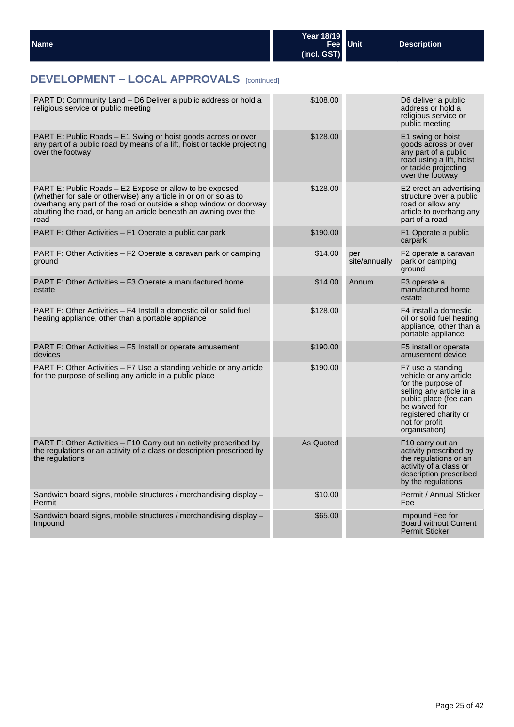| <b>Name</b> | Year 18/19<br>(incl. GST) | Fee Unit | <b>Description</b> |
|-------------|---------------------------|----------|--------------------|
|             |                           |          |                    |

## **DEVELOPMENT – LOCAL APPROVALS** [continued]

| PART D: Community Land – D6 Deliver a public address or hold a<br>religious service or public meeting                                                                                                                                                                        | \$108.00  |                      | D6 deliver a public<br>address or hold a<br>religious service or<br>public meeting                                                                                                                  |
|------------------------------------------------------------------------------------------------------------------------------------------------------------------------------------------------------------------------------------------------------------------------------|-----------|----------------------|-----------------------------------------------------------------------------------------------------------------------------------------------------------------------------------------------------|
| PART E: Public Roads - E1 Swing or hoist goods across or over<br>any part of a public road by means of a lift, hoist or tackle projecting<br>over the footway                                                                                                                | \$128.00  |                      | E1 swing or hoist<br>goods across or over<br>any part of a public<br>road using a lift, hoist<br>or tackle projecting<br>over the footway                                                           |
| PART E: Public Roads – E2 Expose or allow to be exposed<br>(whether for sale or otherwise) any article in or on or so as to<br>overhang any part of the road or outside a shop window or doorway<br>abutting the road, or hang an article beneath an awning over the<br>road | \$128.00  |                      | E2 erect an advertising<br>structure over a public<br>road or allow any<br>article to overhang any<br>part of a road                                                                                |
| PART F: Other Activities – F1 Operate a public car park                                                                                                                                                                                                                      | \$190.00  |                      | F1 Operate a public<br>carpark                                                                                                                                                                      |
| PART F: Other Activities – F2 Operate a caravan park or camping<br>ground                                                                                                                                                                                                    | \$14.00   | per<br>site/annually | F2 operate a caravan<br>park or camping<br>ground                                                                                                                                                   |
| PART F: Other Activities – F3 Operate a manufactured home<br>estate                                                                                                                                                                                                          | \$14.00   | Annum                | F <sub>3</sub> operate a<br>manufactured home<br>estate                                                                                                                                             |
| PART F: Other Activities – F4 Install a domestic oil or solid fuel<br>heating appliance, other than a portable appliance                                                                                                                                                     | \$128.00  |                      | F4 install a domestic<br>oil or solid fuel heating<br>appliance, other than a<br>portable appliance                                                                                                 |
| PART F: Other Activities – F5 Install or operate amusement<br>devices                                                                                                                                                                                                        | \$190.00  |                      | F5 install or operate<br>amusement device                                                                                                                                                           |
| PART F: Other Activities – F7 Use a standing vehicle or any article<br>for the purpose of selling any article in a public place                                                                                                                                              | \$190.00  |                      | F7 use a standing<br>vehicle or any article<br>for the purpose of<br>selling any article in a<br>public place (fee can<br>be waived for<br>registered charity or<br>not for profit<br>organisation) |
| PART F: Other Activities – F10 Carry out an activity prescribed by<br>the regulations or an activity of a class or description prescribed by<br>the regulations                                                                                                              | As Quoted |                      | F <sub>10</sub> carry out an<br>activity prescribed by<br>the regulations or an<br>activity of a class or<br>description prescribed<br>by the regulations                                           |
| Sandwich board signs, mobile structures / merchandising display -<br>Permit                                                                                                                                                                                                  | \$10.00   |                      | Permit / Annual Sticker<br>Fee                                                                                                                                                                      |
| Sandwich board signs, mobile structures / merchandising display –<br>Impound                                                                                                                                                                                                 | \$65.00   |                      | Impound Fee for<br><b>Board without Current</b><br><b>Permit Sticker</b>                                                                                                                            |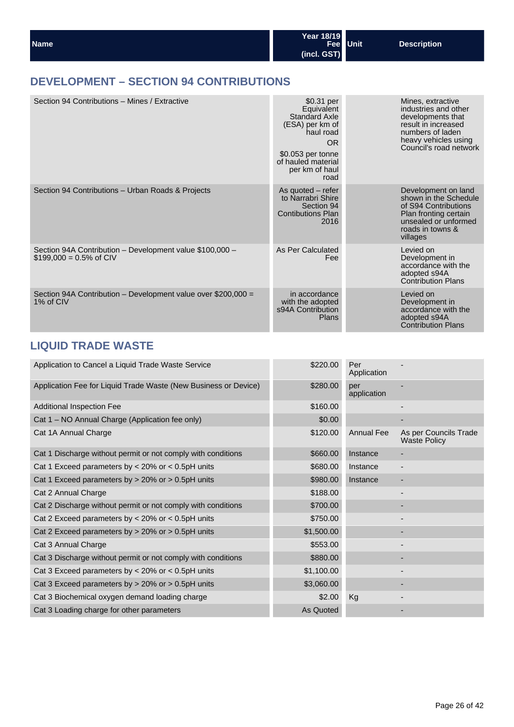| <b>Name</b> | <b>Year 18/19</b> | Fee Unit | Description |
|-------------|-------------------|----------|-------------|
|             | (incl. GST)       |          |             |

## **DEVELOPMENT – SECTION 94 CONTRIBUTIONS**

| Section 94 Contributions - Mines / Extractive                                         | \$0.31 per<br>Equivalent<br><b>Standard Axle</b><br>(ESA) per km of<br>haul road<br><b>OR</b><br>\$0.053 per tonne<br>of hauled material<br>per km of haul<br>road | Mines, extractive<br>industries and other<br>developments that<br>result in increased<br>numbers of laden<br>heavy vehicles using<br>Council's road network |
|---------------------------------------------------------------------------------------|--------------------------------------------------------------------------------------------------------------------------------------------------------------------|-------------------------------------------------------------------------------------------------------------------------------------------------------------|
| Section 94 Contributions - Urban Roads & Projects                                     | As quoted $-$ refer<br>to Narrabri Shire<br>Section 94<br><b>Contibutions Plan</b><br>2016                                                                         | Development on land<br>shown in the Schedule<br>of S94 Contributions<br>Plan fronting certain<br>unsealed or unformed<br>roads in towns &<br>villages       |
| Section 94A Contribution - Development value \$100,000 -<br>$$199,000 = 0.5\%$ of CIV | As Per Calculated<br>Fee                                                                                                                                           | Levied on<br>Development in<br>accordance with the<br>adopted s94A<br><b>Contribution Plans</b>                                                             |
| Section 94A Contribution - Development value over \$200,000 =<br>1% of CIV            | in accordance<br>with the adopted<br>s94A Contribution<br><b>Plans</b>                                                                                             | Levied on<br>Development in<br>accordance with the<br>adopted s94A<br><b>Contribution Plans</b>                                                             |

## **LIQUID TRADE WASTE**

| Application to Cancel a Liquid Trade Waste Service              | \$220.00   | Per<br>Application |                                              |
|-----------------------------------------------------------------|------------|--------------------|----------------------------------------------|
| Application Fee for Liquid Trade Waste (New Business or Device) | \$280.00   | per<br>application |                                              |
| <b>Additional Inspection Fee</b>                                | \$160.00   |                    |                                              |
| Cat 1 – NO Annual Charge (Application fee only)                 | \$0.00     |                    |                                              |
| Cat 1A Annual Charge                                            | \$120.00   | <b>Annual Fee</b>  | As per Councils Trade<br><b>Waste Policy</b> |
| Cat 1 Discharge without permit or not comply with conditions    | \$660.00   | Instance           |                                              |
| Cat 1 Exceed parameters by $<$ 20% or $<$ 0.5pH units           | \$680.00   | Instance           |                                              |
| Cat 1 Exceed parameters by $> 20\%$ or $> 0.5$ pH units         | \$980.00   | Instance           |                                              |
| Cat 2 Annual Charge                                             | \$188.00   |                    |                                              |
| Cat 2 Discharge without permit or not comply with conditions    | \$700.00   |                    |                                              |
| Cat 2 Exceed parameters by $<$ 20% or $<$ 0.5pH units           | \$750.00   |                    |                                              |
| Cat 2 Exceed parameters by $> 20\%$ or $> 0.5$ pH units         | \$1,500.00 |                    |                                              |
| Cat 3 Annual Charge                                             | \$553.00   |                    |                                              |
| Cat 3 Discharge without permit or not comply with conditions    | \$880.00   |                    |                                              |
| Cat 3 Exceed parameters by $<$ 20% or $<$ 0.5pH units           | \$1,100.00 |                    |                                              |
| Cat 3 Exceed parameters by $> 20\%$ or $> 0.5$ pH units         | \$3,060.00 |                    |                                              |
| Cat 3 Biochemical oxygen demand loading charge                  | \$2.00     | Kg                 |                                              |
| Cat 3 Loading charge for other parameters                       | As Quoted  |                    |                                              |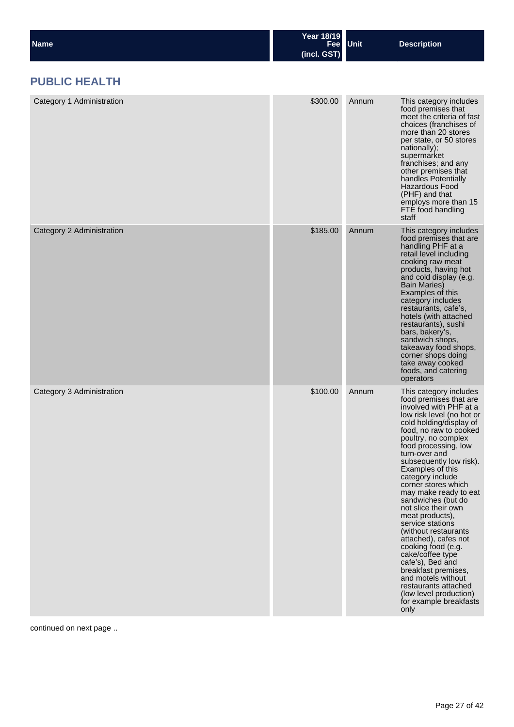| Name | Year 18/19  | Fee Unit | <b>Description</b> |
|------|-------------|----------|--------------------|
|      | (incl. GST) |          |                    |

## **PUBLIC HEALTH**

| Category 1 Administration | \$300.00 | Annum | This category includes<br>food premises that<br>meet the criteria of fast<br>choices (franchises of<br>more than 20 stores<br>per state, or 50 stores<br>nationally);<br>supermarket<br>franchises; and any<br>other premises that<br>handles Potentially<br><b>Hazardous Food</b><br>(PHF) and that<br>employs more than 15<br>FTE food handling<br>staff                                                                                                                                                                                                                                                                                                                          |
|---------------------------|----------|-------|-------------------------------------------------------------------------------------------------------------------------------------------------------------------------------------------------------------------------------------------------------------------------------------------------------------------------------------------------------------------------------------------------------------------------------------------------------------------------------------------------------------------------------------------------------------------------------------------------------------------------------------------------------------------------------------|
| Category 2 Administration | \$185.00 | Annum | This category includes<br>food premises that are<br>handling PHF at a<br>retail level including<br>cooking raw meat<br>products, having hot<br>and cold display (e.g.<br><b>Bain Maries)</b><br>Examples of this<br>category includes<br>restaurants, cafe's,<br>hotels (with attached<br>restaurants), sushi<br>bars, bakery's,<br>sandwich shops,<br>takeaway food shops,<br>corner shops doing<br>take away cooked<br>foods, and catering<br>operators                                                                                                                                                                                                                           |
| Category 3 Administration | \$100.00 | Annum | This category includes<br>food premises that are<br>involved with PHF at a<br>low risk level (no hot or<br>cold holding/display of<br>food, no raw to cooked<br>poultry, no complex<br>food processing, low<br>turn-over and<br>subsequently low risk).<br>Examples of this<br>category include<br>corner stores which<br>may make ready to eat<br>sandwiches (but do<br>not slice their own<br>meat products),<br>service stations<br>(without restaurants)<br>attached), cafes not<br>cooking food (e.g.<br>cake/coffee type<br>cafe's), Bed and<br>breakfast premises,<br>and motels without<br>restaurants attached<br>(low level production)<br>for example breakfasts<br>only |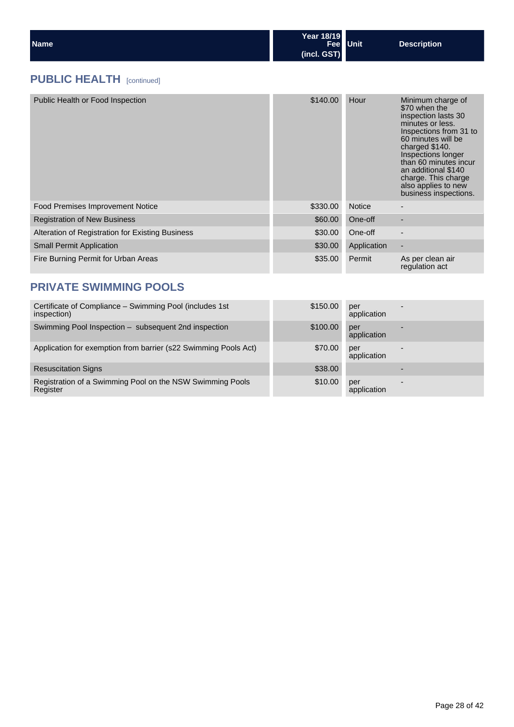| <b>Name</b> | Year 18/19<br>Fee Unit<br>(incl. GST) | Description |  |
|-------------|---------------------------------------|-------------|--|
|-------------|---------------------------------------|-------------|--|

## **PUBLIC HEALTH** [continued]

| Public Health or Food Inspection                 | \$140.00 | Hour          | Minimum charge of<br>\$70 when the<br>inspection lasts 30<br>minutes or less.<br>Inspections from 31 to<br>60 minutes will be<br>charged \$140.<br>Inspections longer<br>than 60 minutes incur<br>an additional \$140<br>charge. This charge<br>also applies to new<br>business inspections. |
|--------------------------------------------------|----------|---------------|----------------------------------------------------------------------------------------------------------------------------------------------------------------------------------------------------------------------------------------------------------------------------------------------|
| <b>Food Premises Improvement Notice</b>          | \$330.00 | <b>Notice</b> |                                                                                                                                                                                                                                                                                              |
| <b>Registration of New Business</b>              | \$60.00  | One-off       |                                                                                                                                                                                                                                                                                              |
| Alteration of Registration for Existing Business | \$30.00  | One-off       |                                                                                                                                                                                                                                                                                              |
| <b>Small Permit Application</b>                  | \$30.00  | Application   |                                                                                                                                                                                                                                                                                              |
| Fire Burning Permit for Urban Areas              | \$35.00  | Permit        | As per clean air<br>regulation act                                                                                                                                                                                                                                                           |

## **PRIVATE SWIMMING POOLS**

| Certificate of Compliance - Swimming Pool (includes 1st<br>inspection) | \$150.00 | per<br>application |  |
|------------------------------------------------------------------------|----------|--------------------|--|
| Swimming Pool Inspection – subsequent 2nd inspection                   | \$100.00 | per<br>application |  |
| Application for exemption from barrier (s22 Swimming Pools Act)        | \$70.00  | per<br>application |  |
| <b>Resuscitation Signs</b>                                             | \$38.00  |                    |  |
| Registration of a Swimming Pool on the NSW Swimming Pools<br>Register  | \$10.00  | per<br>application |  |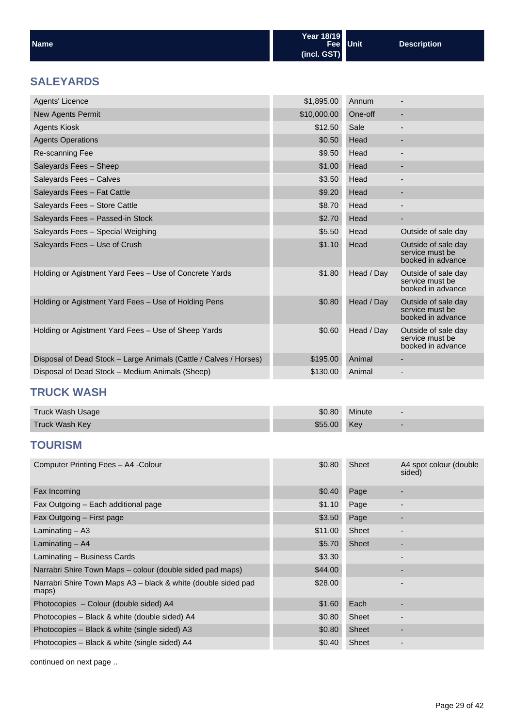| <b>Name</b> | Year 18/19<br>Fee Unit<br>(incl. GST) | <b>Description</b> |
|-------------|---------------------------------------|--------------------|
|             |                                       |                    |

## **SALEYARDS**

| Agents' Licence                                                   | \$1,895.00  | Annum      |                                                             |
|-------------------------------------------------------------------|-------------|------------|-------------------------------------------------------------|
| New Agents Permit                                                 | \$10,000.00 | One-off    | ٠                                                           |
| <b>Agents Kiosk</b>                                               | \$12.50     | Sale       | $\overline{\phantom{0}}$                                    |
| <b>Agents Operations</b>                                          | \$0.50      | Head       | ٠                                                           |
| Re-scanning Fee                                                   | \$9.50      | Head       | -                                                           |
| Saleyards Fees - Sheep                                            | \$1.00      | Head       | -                                                           |
| Saleyards Fees - Calves                                           | \$3.50      | Head       |                                                             |
| Saleyards Fees - Fat Cattle                                       | \$9.20      | Head       | ٠                                                           |
| Saleyards Fees - Store Cattle                                     | \$8.70      | Head       | $\overline{\phantom{a}}$                                    |
| Saleyards Fees - Passed-in Stock                                  | \$2.70      | Head       |                                                             |
| Saleyards Fees - Special Weighing                                 | \$5.50      | Head       | Outside of sale day                                         |
| Saleyards Fees - Use of Crush                                     | \$1.10      | Head       | Outside of sale day<br>service must be<br>booked in advance |
| Holding or Agistment Yard Fees - Use of Concrete Yards            | \$1.80      | Head / Day | Outside of sale day<br>service must be<br>booked in advance |
| Holding or Agistment Yard Fees – Use of Holding Pens              | \$0.80      | Head / Day | Outside of sale day<br>service must be<br>booked in advance |
| Holding or Agistment Yard Fees – Use of Sheep Yards               | \$0.60      | Head / Day | Outside of sale day<br>service must be<br>booked in advance |
| Disposal of Dead Stock - Large Animals (Cattle / Calves / Horses) | \$195.00    | Animal     |                                                             |
| Disposal of Dead Stock - Medium Animals (Sheep)                   | \$130.00    | Animal     |                                                             |

## **TRUCK WASH**

| Truck Wash Usage      | \$0.80      | Minute |  |
|-----------------------|-------------|--------|--|
| <b>Truck Wash Key</b> | \$55.00 Key |        |  |

## **TOURISM**

| Computer Printing Fees - A4 - Colour                                   | \$0.80  | Sheet        | A4 spot colour (double)<br>sided) |
|------------------------------------------------------------------------|---------|--------------|-----------------------------------|
| Fax Incoming                                                           | \$0.40  | Page         | ٠                                 |
| Fax Outgoing - Each additional page                                    | \$1.10  | Page         |                                   |
| Fax Outgoing – First page                                              | \$3.50  | Page         |                                   |
| Laminating $-$ A3                                                      | \$11.00 | Sheet        |                                   |
| Laminating $-$ A4                                                      | \$5.70  | Sheet        |                                   |
| Laminating - Business Cards                                            | \$3.30  |              | $\overline{\phantom{0}}$          |
| Narrabri Shire Town Maps - colour (double sided pad maps)              | \$44.00 |              | ٠                                 |
| Narrabri Shire Town Maps A3 - black & white (double sided pad<br>maps) | \$28.00 |              |                                   |
| Photocopies - Colour (double sided) A4                                 | \$1.60  | Each         |                                   |
| Photocopies - Black & white (double sided) A4                          | \$0.80  | Sheet        |                                   |
| Photocopies – Black & white (single sided) A3                          | \$0.80  | <b>Sheet</b> | ٠                                 |
| Photocopies - Black & white (single sided) A4                          | \$0.40  | Sheet        |                                   |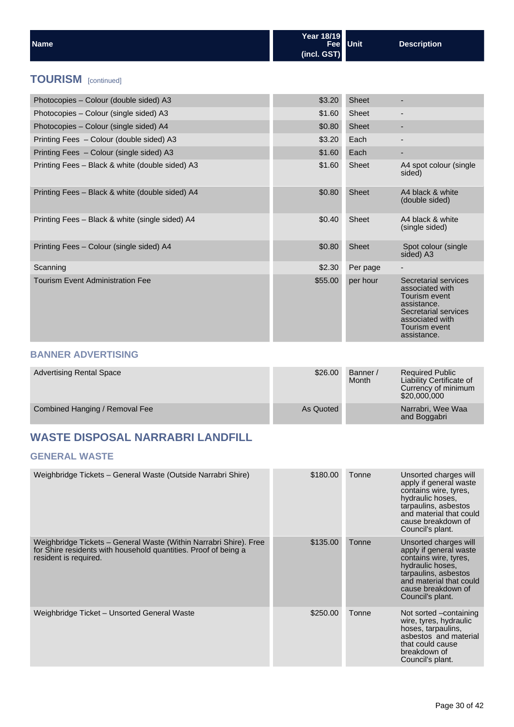| Name                                            | Year 18/19<br>(incl. GST) | Fee Unit     | <b>Description</b>                                                                                                                  |
|-------------------------------------------------|---------------------------|--------------|-------------------------------------------------------------------------------------------------------------------------------------|
| <b>TOURISM</b> [continued]                      |                           |              |                                                                                                                                     |
| Photocopies - Colour (double sided) A3          | \$3.20                    | <b>Sheet</b> | $\overline{\phantom{a}}$                                                                                                            |
| Photocopies – Colour (single sided) A3          | \$1.60                    | Sheet        |                                                                                                                                     |
| Photocopies - Colour (single sided) A4          | \$0.80                    | <b>Sheet</b> | ٠                                                                                                                                   |
| Printing Fees - Colour (double sided) A3        | \$3.20                    | Each         | $\overline{\phantom{a}}$                                                                                                            |
| Printing Fees - Colour (single sided) A3        | \$1.60                    | Each         | ٠                                                                                                                                   |
| Printing Fees - Black & white (double sided) A3 | \$1.60                    | Sheet        | A4 spot colour (single<br>sided)                                                                                                    |
| Printing Fees - Black & white (double sided) A4 | \$0.80                    | <b>Sheet</b> | A4 black & white<br>(double sided)                                                                                                  |
| Printing Fees - Black & white (single sided) A4 | \$0.40                    | Sheet        | A4 black & white<br>(single sided)                                                                                                  |
| Printing Fees - Colour (single sided) A4        | \$0.80                    | <b>Sheet</b> | Spot colour (single<br>sided) A3                                                                                                    |
| Scanning                                        | \$2.30                    | Per page     |                                                                                                                                     |
| <b>Tourism Event Administration Fee</b>         | \$55.00                   | per hour     | Secretarial services<br>associated with<br>Tourism event<br>assistance.<br>Secretarial services<br>associated with<br>Tourism event |

#### **BANNER ADVERTISING**

| <b>Advertising Rental Space</b> | \$26.00   | Banner /<br>Month | <b>Required Public</b><br>Liability Certificate of<br>Currency of minimum<br>\$20,000,000 |
|---------------------------------|-----------|-------------------|-------------------------------------------------------------------------------------------|
| Combined Hanging / Removal Fee  | As Quoted |                   | Narrabri, Wee Waa<br>and Boggabri                                                         |

## **WASTE DISPOSAL NARRABRI LANDFILL**

#### **GENERAL WASTE**

| Weighbridge Tickets - General Waste (Outside Narrabri Shire)                                                                                                  | \$180.00 | Tonne | Unsorted charges will<br>apply if general waste<br>contains wire, tyres,<br>hydraulic hoses,<br>tarpaulins, asbestos<br>and material that could<br>cause breakdown of<br>Council's plant. |
|---------------------------------------------------------------------------------------------------------------------------------------------------------------|----------|-------|-------------------------------------------------------------------------------------------------------------------------------------------------------------------------------------------|
| Weighbridge Tickets – General Waste (Within Narrabri Shire). Free<br>for Shire residents with household quantities. Proof of being a<br>resident is required. | \$135.00 | Tonne | Unsorted charges will<br>apply if general waste<br>contains wire, tyres,<br>hydraulic hoses,<br>tarpaulins, asbestos<br>and material that could<br>cause breakdown of<br>Council's plant. |
| Weighbridge Ticket - Unsorted General Waste                                                                                                                   | \$250.00 | Tonne | Not sorted -containing<br>wire, tyres, hydraulic<br>hoses, tarpaulins,<br>asbestos and material<br>that could cause<br>breakdown of<br>Council's plant.                                   |

assistance.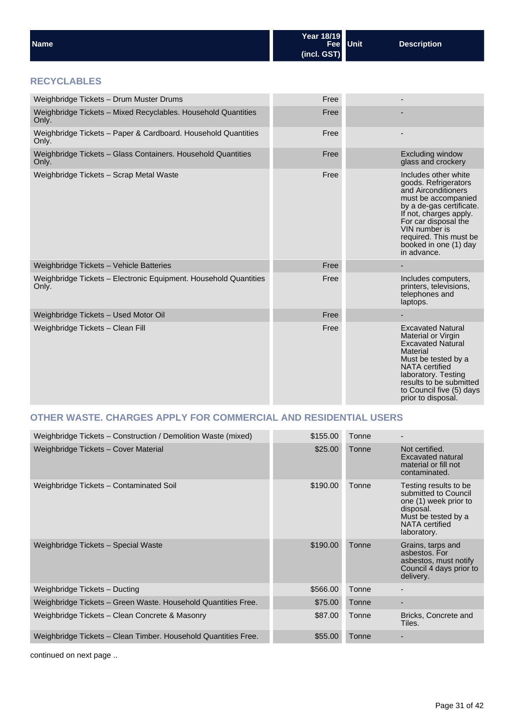| <b>Name</b>                                                               | 1 ear 1 o / 1 9<br><b>Fee</b><br>(incl. GST) | <b>Unit</b> | <b>Description</b>                                                                                                                                                                                                                                          |
|---------------------------------------------------------------------------|----------------------------------------------|-------------|-------------------------------------------------------------------------------------------------------------------------------------------------------------------------------------------------------------------------------------------------------------|
| <b>RECYCLABLES</b>                                                        |                                              |             |                                                                                                                                                                                                                                                             |
| Weighbridge Tickets - Drum Muster Drums                                   | Free                                         |             |                                                                                                                                                                                                                                                             |
| Weighbridge Tickets - Mixed Recyclables. Household Quantities<br>Only.    | Free                                         |             |                                                                                                                                                                                                                                                             |
| Weighbridge Tickets - Paper & Cardboard. Household Quantities<br>Only.    | Free                                         |             |                                                                                                                                                                                                                                                             |
| Weighbridge Tickets - Glass Containers. Household Quantities<br>Only.     | Free                                         |             | <b>Excluding window</b><br>glass and crockery                                                                                                                                                                                                               |
| Weighbridge Tickets - Scrap Metal Waste                                   | Free                                         |             | Includes other white<br>goods. Refrigerators<br>and Airconditioners<br>must be accompanied<br>by a de-gas certificate.<br>If not, charges apply.<br>For car disposal the<br>VIN number is<br>required. This must be<br>booked in one (1) day<br>in advance. |
| Weighbridge Tickets - Vehicle Batteries                                   | Free                                         |             |                                                                                                                                                                                                                                                             |
| Weighbridge Tickets - Electronic Equipment. Household Quantities<br>Only. | Free                                         |             | Includes computers,<br>printers, televisions,<br>telephones and<br>laptops.                                                                                                                                                                                 |
| Weighbridge Tickets - Used Motor Oil                                      | Free                                         |             |                                                                                                                                                                                                                                                             |
| Weighbridge Tickets - Clean Fill                                          | Free                                         |             | <b>Excavated Natural</b><br>Material or Virgin<br><b>Excavated Natural</b><br><b>Material</b><br>Must be tested by a<br>NATA certified<br>laboratory. Testing<br>results to be submitted<br>to Council five (5) days<br>prior to disposal.                  |

**Year 18/19**

## **OTHER WASTE. CHARGES APPLY FOR COMMERCIAL AND RESIDENTIAL USERS**

| Weighbridge Tickets - Construction / Demolition Waste (mixed)  | \$155.00 | Tonne |                                                                                                                                                    |
|----------------------------------------------------------------|----------|-------|----------------------------------------------------------------------------------------------------------------------------------------------------|
| Weighbridge Tickets - Cover Material                           | \$25.00  | Tonne | Not certified.<br><b>Excavated natural</b><br>material or fill not<br>contaminated.                                                                |
| Weighbridge Tickets - Contaminated Soil                        | \$190.00 | Tonne | Testing results to be<br>submitted to Council<br>one (1) week prior to<br>disposal.<br>Must be tested by a<br><b>NATA</b> certified<br>laboratory. |
| Weighbridge Tickets - Special Waste                            | \$190.00 | Tonne | Grains, tarps and<br>asbestos. For<br>asbestos, must notify<br>Council 4 days prior to<br>delivery.                                                |
| Weighbridge Tickets - Ducting                                  | \$566.00 | Tonne |                                                                                                                                                    |
| Weighbridge Tickets - Green Waste. Household Quantities Free.  | \$75.00  | Tonne |                                                                                                                                                    |
| Weighbridge Tickets – Clean Concrete & Masonry                 | \$87.00  | Tonne | Bricks, Concrete and<br>Tiles.                                                                                                                     |
| Weighbridge Tickets - Clean Timber. Household Quantities Free. | \$55.00  | Tonne |                                                                                                                                                    |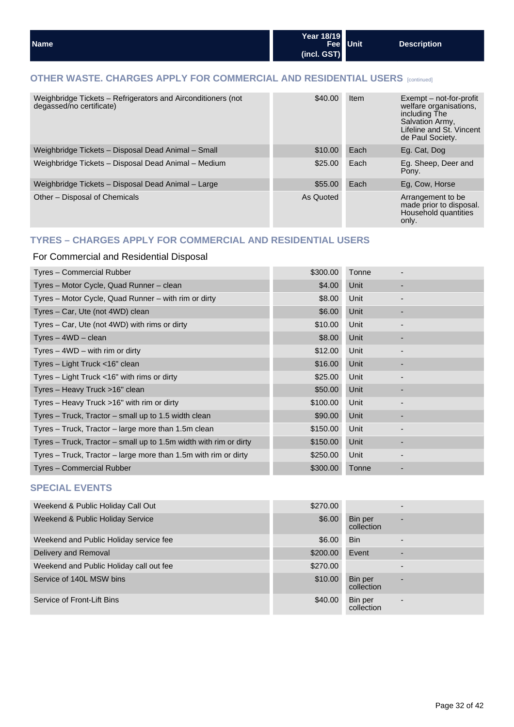#### **OTHER WASTE. CHARGES APPLY FOR COMMERCIAL AND RESIDENTIAL USERS** [continued]

| Weighbridge Tickets - Refrigerators and Airconditioners (not<br>degassed/no certificate) | \$40.00   | Item | Exempt – not-for-profit<br>welfare organisations.<br>including The<br>Salvation Army,<br>Lifeline and St. Vincent<br>de Paul Society. |
|------------------------------------------------------------------------------------------|-----------|------|---------------------------------------------------------------------------------------------------------------------------------------|
| Weighbridge Tickets - Disposal Dead Animal - Small                                       | \$10.00   | Each | Eg. Cat, Dog                                                                                                                          |
| Weighbridge Tickets - Disposal Dead Animal - Medium                                      | \$25.00   | Each | Eg. Sheep, Deer and<br>Pony.                                                                                                          |
| Weighbridge Tickets - Disposal Dead Animal - Large                                       | \$55.00   | Each | Eq. Cow, Horse                                                                                                                        |
| Other – Disposal of Chemicals                                                            | As Quoted |      | Arrangement to be<br>made prior to disposal.<br>Household quantities<br>only.                                                         |

#### **TYRES – CHARGES APPLY FOR COMMERCIAL AND RESIDENTIAL USERS**

#### For Commercial and Residential Disposal

| Tyres - Commercial Rubber                                         | \$300.00 | Tonne |                          |  |
|-------------------------------------------------------------------|----------|-------|--------------------------|--|
| Tyres - Motor Cycle, Quad Runner - clean                          | \$4.00   | Unit  |                          |  |
| Tyres – Motor Cycle, Quad Runner – with rim or dirty              | \$8.00   | Unit  |                          |  |
| Tyres - Car, Ute (not 4WD) clean                                  | \$6.00   | Unit  | ٠                        |  |
| Tyres – Car, Ute (not 4WD) with rims or dirty                     | \$10.00  | Unit  |                          |  |
| $Tyres - 4WD - clean$                                             | \$8.00   | Unit  | ٠                        |  |
| Tyres $-$ 4WD $-$ with rim or dirty                               | \$12.00  | Unit  | -                        |  |
| Tyres – Light Truck <16" clean                                    | \$16.00  | Unit  |                          |  |
| Tyres $-$ Light Truck $<$ 16" with rims or dirty                  | \$25.00  | Unit  | $\overline{\phantom{a}}$ |  |
| Tyres – Heavy Truck >16" clean                                    | \$50.00  | Unit  | ٠                        |  |
| Tyres – Heavy Truck $>16$ " with rim or dirty                     | \$100.00 | Unit  |                          |  |
| Tyres - Truck, Tractor - small up to 1.5 width clean              | \$90.00  | Unit  | ٠                        |  |
| Tyres – Truck, Tractor – large more than 1.5m clean               | \$150.00 | Unit  | $\overline{\phantom{a}}$ |  |
| Tyres – Truck, Tractor – small up to 1.5m width with rim or dirty | \$150.00 | Unit  |                          |  |
| Tyres – Truck, Tractor – large more than 1.5m with rim or dirty   | \$250.00 | Unit  |                          |  |
| Tyres - Commercial Rubber                                         | \$300.00 | Tonne |                          |  |

#### **SPECIAL EVENTS**

| Weekend & Public Holiday Call Out       | \$270.00 |                       |   |
|-----------------------------------------|----------|-----------------------|---|
| Weekend & Public Holiday Service        | \$6.00   | Bin per<br>collection | ۰ |
| Weekend and Public Holiday service fee  | \$6.00   | <b>Bin</b>            |   |
| Delivery and Removal                    | \$200.00 | Event                 |   |
| Weekend and Public Holiday call out fee | \$270.00 |                       |   |
| Service of 140L MSW bins                | \$10.00  | Bin per<br>collection |   |
| Service of Front-Lift Bins              | \$40.00  | Bin per<br>collection | ۰ |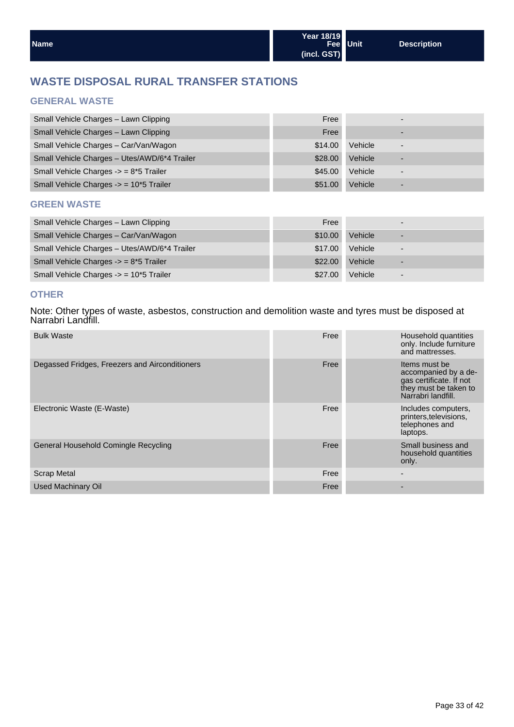## **WASTE DISPOSAL RURAL TRANSFER STATIONS**

#### **GENERAL WASTE**

| Small Vehicle Charges - Lawn Clipping        | Free    |         | -                        |  |
|----------------------------------------------|---------|---------|--------------------------|--|
| Small Vehicle Charges - Lawn Clipping        | Free    |         | -                        |  |
| Small Vehicle Charges - Car/Van/Wagon        | \$14.00 | Vehicle | $\overline{\phantom{0}}$ |  |
| Small Vehicle Charges - Utes/AWD/6*4 Trailer | \$28.00 | Vehicle | -                        |  |
| Small Vehicle Charges -> = 8*5 Trailer       | \$45.00 | Vehicle | $\overline{\phantom{0}}$ |  |
| Small Vehicle Charges -> = 10*5 Trailer      | \$51.00 | Vehicle | -                        |  |

#### **GREEN WASTE**

| Small Vehicle Charges - Lawn Clipping             | Free    |         | $\overline{\phantom{0}}$ |
|---------------------------------------------------|---------|---------|--------------------------|
| Small Vehicle Charges - Car/Van/Wagon             | \$10.00 | Vehicle | $\overline{\phantom{0}}$ |
| Small Vehicle Charges - Utes/AWD/6*4 Trailer      | \$17.00 | Vehicle | $\overline{\phantom{0}}$ |
| Small Vehicle Charges $\rightarrow$ = 8*5 Trailer | \$22.00 | Vehicle | $\overline{\phantom{0}}$ |
| Small Vehicle Charges -> = 10*5 Trailer           | \$27.00 | Vehicle | $\overline{\phantom{0}}$ |

#### **OTHER**

Note: Other types of waste, asbestos, construction and demolition waste and tyres must be disposed at Narrabri Landfill.

| <b>Bulk Waste</b>                              | Free | Household quantities<br>only. Include furniture<br>and mattresses.                                              |
|------------------------------------------------|------|-----------------------------------------------------------------------------------------------------------------|
| Degassed Fridges, Freezers and Airconditioners | Free | Items must be<br>accompanied by a de-<br>gas certificate. If not<br>they must be taken to<br>Narrabri landfill. |
| Electronic Waste (E-Waste)                     | Free | Includes computers,<br>printers, televisions,<br>telephones and<br>laptops.                                     |
| General Household Comingle Recycling           | Free | Small business and<br>household quantities<br>only.                                                             |
| <b>Scrap Metal</b>                             | Free |                                                                                                                 |
| <b>Used Machinary Oil</b>                      | Free |                                                                                                                 |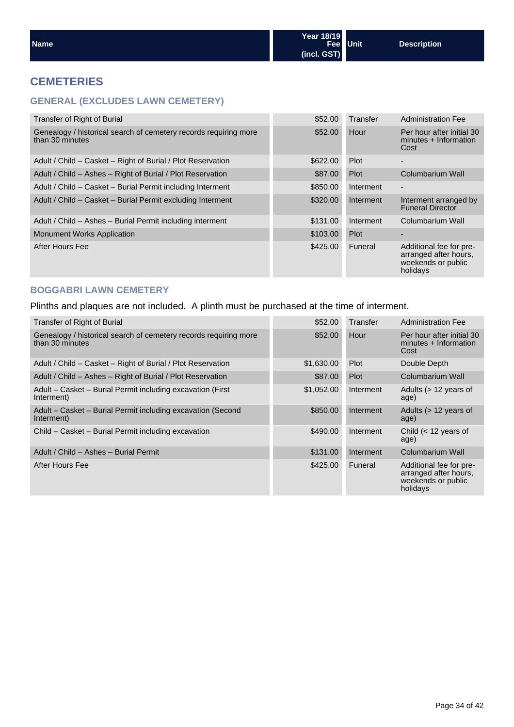#### **CEMETERIES**

#### **GENERAL (EXCLUDES LAWN CEMETERY)**

| \$52.00  | Transfer    | <b>Administration Fee</b>                                                          |
|----------|-------------|------------------------------------------------------------------------------------|
| \$52.00  | Hour        | Per hour after initial 30<br>minutes + Information<br>Cost                         |
| \$622,00 | <b>Plot</b> | $\overline{\phantom{a}}$                                                           |
| \$87.00  | Plot        | Columbarium Wall                                                                   |
| \$850.00 | Interment   | $\overline{\phantom{a}}$                                                           |
| \$320,00 | Interment   | Interment arranged by<br><b>Funeral Director</b>                                   |
| \$131.00 | Interment   | Columbarium Wall                                                                   |
| \$103.00 | Plot        | ۰                                                                                  |
| \$425.00 | Funeral     | Additional fee for pre-<br>arranged after hours.<br>weekends or public<br>holidays |
|          |             |                                                                                    |

#### **BOGGABRI LAWN CEMETERY**

Plinths and plaques are not included. A plinth must be purchased at the time of interment.

| Transfer of Right of Burial                                                         | \$52.00    | Transfer  | <b>Administration Fee</b>                                                          |
|-------------------------------------------------------------------------------------|------------|-----------|------------------------------------------------------------------------------------|
| Genealogy / historical search of cemetery records requiring more<br>than 30 minutes | \$52.00    | Hour      | Per hour after initial 30<br>minutes + Information<br>Cost                         |
| Adult / Child - Casket - Right of Burial / Plot Reservation                         | \$1,630.00 | Plot      | Double Depth                                                                       |
| Adult / Child - Ashes - Right of Burial / Plot Reservation                          | \$87.00    | Plot      | Columbarium Wall                                                                   |
| Adult – Casket – Burial Permit including excavation (First<br>Interment)            | \$1,052.00 | Interment | Adults $($ > 12 years of<br>age)                                                   |
| Adult – Casket – Burial Permit including excavation (Second<br>Interment)           | \$850.00   | Interment | Adults (> 12 years of<br>age)                                                      |
| Child - Casket - Burial Permit including excavation                                 | \$490.00   | Interment | Child $(< 12$ years of<br>age)                                                     |
| Adult / Child - Ashes - Burial Permit                                               | \$131.00   | Interment | Columbarium Wall                                                                   |
| After Hours Fee                                                                     | \$425.00   | Funeral   | Additional fee for pre-<br>arranged after hours.<br>weekends or public<br>holidays |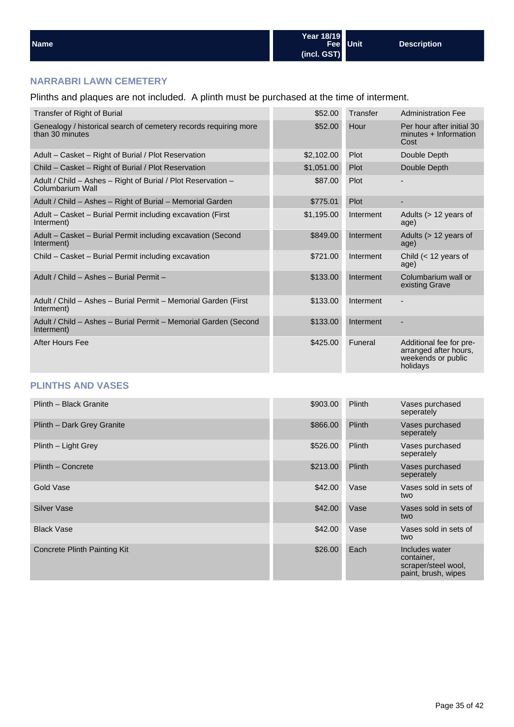#### **NARRABRI LAWN CEMETERY**

Plinths and plaques are not included. A plinth must be purchased at the time of interment.

| <b>Transfer of Right of Burial</b>                                                  | \$52.00    | Transfer  | <b>Administration Fee</b>                                                          |
|-------------------------------------------------------------------------------------|------------|-----------|------------------------------------------------------------------------------------|
| Genealogy / historical search of cemetery records requiring more<br>than 30 minutes | \$52.00    | Hour      | Per hour after initial 30<br>minutes + Information<br>Cost                         |
| Adult - Casket - Right of Burial / Plot Reservation                                 | \$2,102.00 | Plot      | Double Depth                                                                       |
| Child - Casket - Right of Burial / Plot Reservation                                 | \$1,051.00 | Plot      | Double Depth                                                                       |
| Adult / Child - Ashes - Right of Burial / Plot Reservation -<br>Columbarium Wall    | \$87.00    | Plot      |                                                                                    |
| Adult / Child - Ashes - Right of Burial - Memorial Garden                           | \$775.01   | Plot      |                                                                                    |
| Adult – Casket – Burial Permit including excavation (First<br>Interment)            | \$1,195.00 | Interment | Adults (> 12 years of<br>age)                                                      |
| Adult - Casket - Burial Permit including excavation (Second<br>Interment)           | \$849.00   | Interment | Adults (> 12 years of<br>age)                                                      |
| Child - Casket - Burial Permit including excavation                                 | \$721.00   | Interment | Child $(< 12$ years of<br>age)                                                     |
| Adult / Child - Ashes - Burial Permit -                                             | \$133.00   | Interment | Columbarium wall or<br>existing Grave                                              |
| Adult / Child - Ashes - Burial Permit - Memorial Garden (First<br>Interment)        | \$133.00   | Interment |                                                                                    |
| Adult / Child - Ashes - Burial Permit - Memorial Garden (Second<br>Interment)       | \$133.00   | Interment |                                                                                    |
| After Hours Fee                                                                     | \$425.00   | Funeral   | Additional fee for pre-<br>arranged after hours,<br>weekends or public<br>holidays |

#### **PLINTHS AND VASES**

| Plinth - Black Granite       | \$903.00 | Plinth | Vases purchased<br>seperately                                              |
|------------------------------|----------|--------|----------------------------------------------------------------------------|
| Plinth - Dark Grey Granite   | \$866.00 | Plinth | Vases purchased<br>seperately                                              |
| Plinth - Light Grey          | \$526.00 | Plinth | Vases purchased<br>seperately                                              |
| Plinth - Concrete            | \$213.00 | Plinth | Vases purchased<br>seperately                                              |
| Gold Vase                    | \$42.00  | Vase   | Vases sold in sets of<br>two                                               |
| <b>Silver Vase</b>           | \$42.00  | Vase   | Vases sold in sets of<br>two                                               |
| <b>Black Vase</b>            | \$42.00  | Vase   | Vases sold in sets of<br>two                                               |
| Concrete Plinth Painting Kit | \$26.00  | Each   | Includes water<br>container,<br>scraper/steel wool,<br>paint, brush, wipes |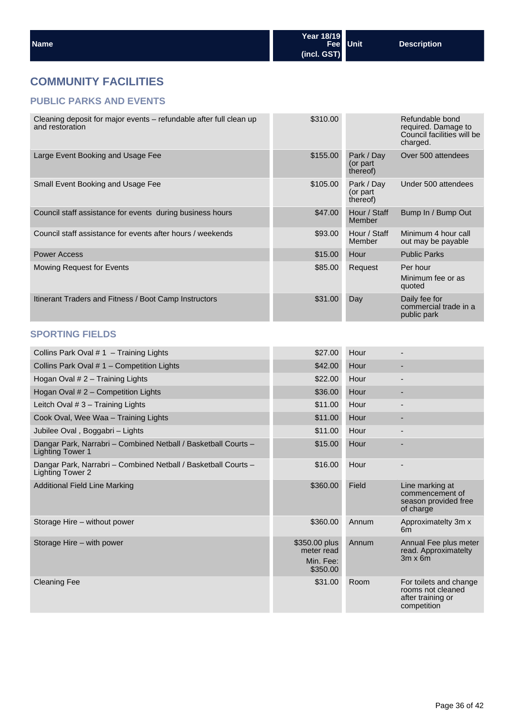## **COMMUNITY FACILITIES**

#### **PUBLIC PARKS AND EVENTS**

| Cleaning deposit for major events – refundable after full clean up<br>and restoration     | \$310.00                                             |                                    | Refundable bond<br>required. Damage to<br>Council facilities will be<br>charged. |
|-------------------------------------------------------------------------------------------|------------------------------------------------------|------------------------------------|----------------------------------------------------------------------------------|
| Large Event Booking and Usage Fee                                                         | \$155.00                                             | Park / Day<br>(or part<br>thereof) | Over 500 attendees                                                               |
| Small Event Booking and Usage Fee                                                         | \$105.00                                             | Park / Day<br>(or part<br>thereof) | Under 500 attendees                                                              |
| Council staff assistance for events during business hours                                 | \$47.00                                              | Hour / Staff<br>Member             | Bump In / Bump Out                                                               |
| Council staff assistance for events after hours / weekends                                | \$93.00                                              | Hour / Staff<br>Member             | Minimum 4 hour call<br>out may be payable                                        |
| <b>Power Access</b>                                                                       | \$15.00                                              | Hour                               | <b>Public Parks</b>                                                              |
| Mowing Request for Events                                                                 | \$85.00                                              | Request                            | Per hour<br>Minimum fee or as<br>quoted                                          |
| Itinerant Traders and Fitness / Boot Camp Instructors                                     | \$31.00                                              | Day                                | Daily fee for<br>commercial trade in a<br>public park                            |
| <b>SPORTING FIELDS</b>                                                                    |                                                      |                                    |                                                                                  |
| Collins Park Oval $# 1 -$ Training Lights                                                 | \$27.00                                              | Hour                               | $\overline{\phantom{a}}$                                                         |
| Collins Park Oval # 1 - Competition Lights                                                | \$42.00                                              | Hour                               |                                                                                  |
| Hogan Oval $# 2$ – Training Lights                                                        | \$22.00                                              | Hour                               | $\overline{\phantom{a}}$                                                         |
| Hogan Oval # 2 - Competition Lights                                                       | \$36.00                                              | Hour                               |                                                                                  |
| Leitch Oval # 3 - Training Lights                                                         | \$11.00                                              | Hour                               | $\overline{\phantom{a}}$                                                         |
| Cook Oval, Wee Waa - Training Lights                                                      | \$11.00                                              | Hour                               |                                                                                  |
| Jubilee Oval, Boggabri - Lights                                                           | \$11.00                                              | Hour                               |                                                                                  |
| Dangar Park, Narrabri - Combined Netball / Basketball Courts -<br><b>Lighting Tower 1</b> | \$15.00                                              | Hour                               |                                                                                  |
| Dangar Park, Narrabri - Combined Netball / Basketball Courts -<br>Lighting Tower 2        | \$16.00                                              | Hour                               |                                                                                  |
| <b>Additional Field Line Marking</b>                                                      | \$360.00                                             | Field                              | Line marking at<br>commencement of<br>season provided free<br>of charge          |
| Storage Hire - without power                                                              | \$360.00                                             | Annum                              | Approximatelty 3m x<br>6m                                                        |
| Storage Hire – with power                                                                 | \$350.00 plus<br>meter read<br>Min. Fee:<br>\$350.00 | Annum                              | Annual Fee plus meter<br>read. Approximatelty<br>$3m \times 6m$                  |
| <b>Cleaning Fee</b>                                                                       | \$31.00                                              | Room                               | For toilets and change<br>rooms not cleaned<br>after training or<br>competition  |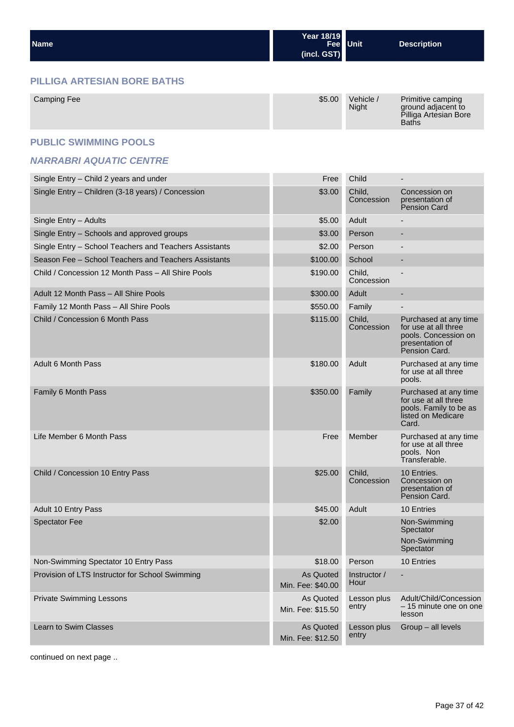| <b>Name</b> | Year 18/19  | Fee Unit | Description |
|-------------|-------------|----------|-------------|
|             | (incl. GST) |          |             |

#### **PILLIGA ARTESIAN BORE BATHS**

| Camping Fee | \$5.00 | Vehicle $\prime$<br><b>Night</b> | Primitive camping<br>ground adjacent to<br>Pilliga Artesian Bore<br><b>Baths</b> |
|-------------|--------|----------------------------------|----------------------------------------------------------------------------------|
|-------------|--------|----------------------------------|----------------------------------------------------------------------------------|

#### **PUBLIC SWIMMING POOLS**

#### **NARRABRI AQUATIC CENTRE**

| Single Entry - Child 2 years and under                 | Free                           | Child                |                                                                                                           |
|--------------------------------------------------------|--------------------------------|----------------------|-----------------------------------------------------------------------------------------------------------|
| Single Entry - Children (3-18 years) / Concession      | \$3.00                         | Child,<br>Concession | Concession on<br>presentation of<br><b>Pension Card</b>                                                   |
| Single Entry - Adults                                  | \$5.00                         | Adult                |                                                                                                           |
| Single Entry - Schools and approved groups             | \$3.00                         | Person               |                                                                                                           |
| Single Entry - School Teachers and Teachers Assistants | \$2.00                         | Person               |                                                                                                           |
| Season Fee - School Teachers and Teachers Assistants   | \$100.00                       | School               |                                                                                                           |
| Child / Concession 12 Month Pass - All Shire Pools     | \$190.00                       | Child,<br>Concession |                                                                                                           |
| Adult 12 Month Pass - All Shire Pools                  | \$300.00                       | Adult                |                                                                                                           |
| Family 12 Month Pass - All Shire Pools                 | \$550.00                       | Family               |                                                                                                           |
| Child / Concession 6 Month Pass                        | \$115.00                       | Child,<br>Concession | Purchased at any time<br>for use at all three<br>pools. Concession on<br>presentation of<br>Pension Card. |
| <b>Adult 6 Month Pass</b>                              | \$180.00                       | Adult                | Purchased at any time<br>for use at all three<br>pools.                                                   |
| Family 6 Month Pass                                    | \$350.00                       | Family               | Purchased at any time<br>for use at all three<br>pools. Family to be as<br>listed on Medicare<br>Card.    |
| Life Member 6 Month Pass                               | Free                           | Member               | Purchased at any time<br>for use at all three<br>pools. Non<br>Transferable.                              |
| Child / Concession 10 Entry Pass                       | \$25.00                        | Child,<br>Concession | 10 Entries.<br>Concession on<br>presentation of<br>Pension Card.                                          |
| Adult 10 Entry Pass                                    | \$45.00                        | Adult                | 10 Entries                                                                                                |
| <b>Spectator Fee</b>                                   | \$2.00                         |                      | Non-Swimming<br>Spectator<br>Non-Swimming<br>Spectator                                                    |
| Non-Swimming Spectator 10 Entry Pass                   | \$18.00                        | Person               | 10 Entries                                                                                                |
| Provision of LTS Instructor for School Swimming        | As Quoted<br>Min. Fee: \$40.00 | Instructor /<br>Hour |                                                                                                           |
| <b>Private Swimming Lessons</b>                        | As Quoted<br>Min. Fee: \$15.50 | Lesson plus<br>entry | Adult/Child/Concession<br>- 15 minute one on one<br>lesson                                                |
| Learn to Swim Classes                                  | As Quoted<br>Min. Fee: \$12.50 | Lesson plus<br>entry | Group - all levels                                                                                        |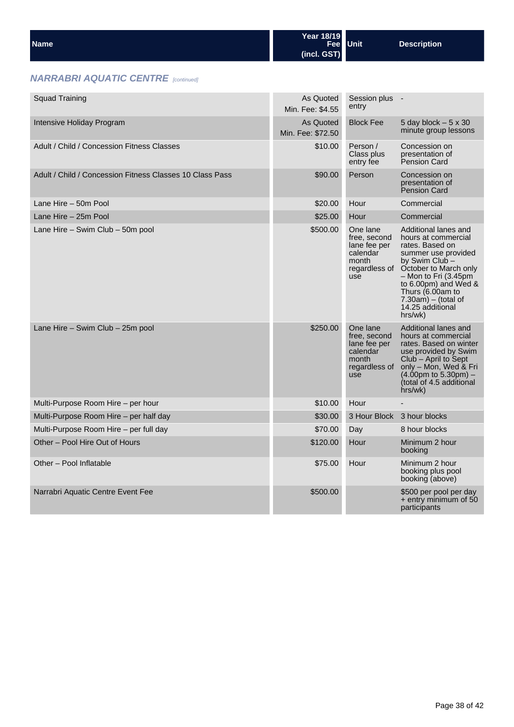| l Name | Year 18/19  | Fee Unit | <b>Description</b> |
|--------|-------------|----------|--------------------|
|        | (incl. GST) |          |                    |

## **NARRABRI AQUATIC CENTRE** [continued]

| <b>Squad Training</b>                                    | As Quoted<br>Min. Fee: \$4.55  | Session plus -<br>entry                                                               |                                                                                                                                                                                                                                                                                      |
|----------------------------------------------------------|--------------------------------|---------------------------------------------------------------------------------------|--------------------------------------------------------------------------------------------------------------------------------------------------------------------------------------------------------------------------------------------------------------------------------------|
| Intensive Holiday Program                                | As Quoted<br>Min. Fee: \$72.50 | <b>Block Fee</b>                                                                      | 5 day block $-5 \times 30$<br>minute group lessons                                                                                                                                                                                                                                   |
| Adult / Child / Concession Fitness Classes               | \$10.00                        | Person /<br>Class plus<br>entry fee                                                   | Concession on<br>presentation of<br><b>Pension Card</b>                                                                                                                                                                                                                              |
| Adult / Child / Concession Fitness Classes 10 Class Pass | \$90.00                        | Person                                                                                | Concession on<br>presentation of<br><b>Pension Card</b>                                                                                                                                                                                                                              |
| Lane Hire - 50m Pool                                     | \$20.00                        | Hour                                                                                  | Commercial                                                                                                                                                                                                                                                                           |
| Lane Hire - 25m Pool                                     | \$25.00                        | Hour                                                                                  | Commercial                                                                                                                                                                                                                                                                           |
| Lane Hire - Swim Club - 50m pool                         | \$500.00                       | One lane<br>free, second<br>lane fee per<br>calendar<br>month<br>use                  | Additional lanes and<br>hours at commercial<br>rates. Based on<br>summer use provided<br>by Swim Club –<br>regardless of October to March only<br>$-$ Mon to Fri (3.45pm)<br>to $6.00$ pm) and Wed $\&$<br>Thurs (6.00am to<br>$7.30am$ ) – (total of<br>14.25 additional<br>hrs/wk) |
| Lane Hire – Swim Club – 25m pool                         | \$250.00                       | One lane<br>free, second<br>lane fee per<br>calendar<br>month<br>regardless of<br>use | Additional lanes and<br>hours at commercial<br>rates. Based on winter<br>use provided by Swim<br>Club - April to Sept<br>only - Mon, Wed & Fri<br>$(4.00 \text{pm to } 5.30 \text{pm}) -$<br>(total of 4.5 additional<br>hrs/wk)                                                     |
| Multi-Purpose Room Hire – per hour                       | \$10.00                        | Hour                                                                                  |                                                                                                                                                                                                                                                                                      |
| Multi-Purpose Room Hire – per half day                   | \$30.00                        |                                                                                       | 3 Hour Block 3 hour blocks                                                                                                                                                                                                                                                           |
| Multi-Purpose Room Hire - per full day                   | \$70.00                        | Day                                                                                   | 8 hour blocks                                                                                                                                                                                                                                                                        |
| Other – Pool Hire Out of Hours                           | \$120.00                       | Hour                                                                                  | Minimum 2 hour<br>booking                                                                                                                                                                                                                                                            |
| Other - Pool Inflatable                                  | \$75.00                        | Hour                                                                                  | Minimum 2 hour<br>booking plus pool<br>booking (above)                                                                                                                                                                                                                               |
| Narrabri Aquatic Centre Event Fee                        | \$500.00                       |                                                                                       | \$500 per pool per day<br>+ entry minimum of 50<br>participants                                                                                                                                                                                                                      |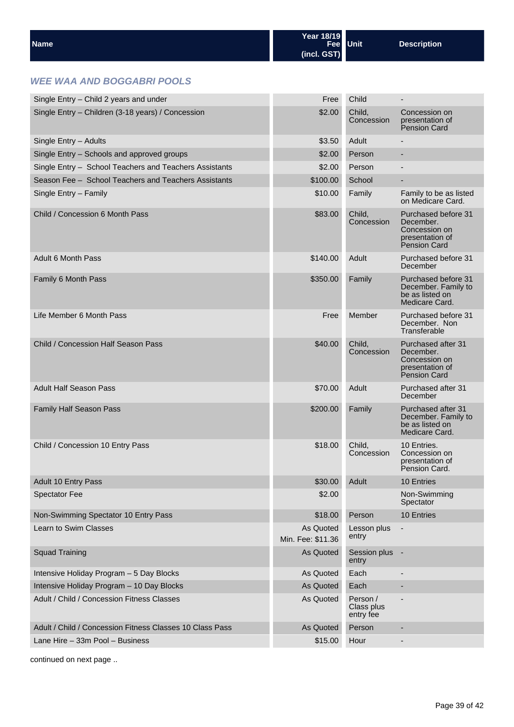| <b>Name</b> | Year 18/19          | Fee Unit | <b>Description</b> |
|-------------|---------------------|----------|--------------------|
|             | $ $ (incl. GST) $ $ |          |                    |

#### **WEE WAA AND BOGGABRI POOLS**

| Single Entry - Child 2 years and under                   | Free                           | Child                               | $\qquad \qquad \blacksquare$                                                                |
|----------------------------------------------------------|--------------------------------|-------------------------------------|---------------------------------------------------------------------------------------------|
| Single Entry - Children (3-18 years) / Concession        | \$2.00                         | Child,<br>Concession                | Concession on<br>presentation of<br>Pension Card                                            |
| Single Entry - Adults                                    | \$3.50                         | Adult                               |                                                                                             |
| Single Entry - Schools and approved groups               | \$2.00                         | Person                              |                                                                                             |
| Single Entry - School Teachers and Teachers Assistants   | \$2.00                         | Person                              | $\blacksquare$                                                                              |
| Season Fee - School Teachers and Teachers Assistants     | \$100.00                       | School                              | -                                                                                           |
| Single Entry - Family                                    | \$10.00                        | Family                              | Family to be as listed<br>on Medicare Card.                                                 |
| Child / Concession 6 Month Pass                          | \$83.00                        | Child,<br>Concession                | Purchased before 31<br>December.<br>Concession on<br>presentation of<br><b>Pension Card</b> |
| <b>Adult 6 Month Pass</b>                                | \$140.00                       | Adult                               | Purchased before 31<br>December                                                             |
| Family 6 Month Pass                                      | \$350.00                       | Family                              | Purchased before 31<br>December. Family to<br>be as listed on<br>Medicare Card.             |
| Life Member 6 Month Pass                                 | Free                           | Member                              | Purchased before 31<br>December, Non<br>Transferable                                        |
| Child / Concession Half Season Pass                      | \$40.00                        | Child,<br>Concession                | Purchased after 31<br>December.<br>Concession on<br>presentation of<br><b>Pension Card</b>  |
| <b>Adult Half Season Pass</b>                            | \$70.00                        | Adult                               | Purchased after 31<br>December                                                              |
| <b>Family Half Season Pass</b>                           | \$200.00                       | Family                              | Purchased after 31<br>December. Family to<br>be as listed on<br>Medicare Card.              |
| Child / Concession 10 Entry Pass                         | \$18.00                        | Child,<br>Concession                | 10 Entries.<br>Concession on<br>presentation of<br>Pension Card.                            |
| Adult 10 Entry Pass                                      | \$30.00                        | Adult                               | 10 Entries                                                                                  |
| <b>Spectator Fee</b>                                     | \$2.00                         |                                     | Non-Swimming<br>Spectator                                                                   |
| Non-Swimming Spectator 10 Entry Pass                     | \$18.00                        | Person                              | 10 Entries                                                                                  |
| Learn to Swim Classes                                    | As Quoted<br>Min. Fee: \$11.36 | Lesson plus<br>entry                | $\overline{\phantom{m}}$                                                                    |
| <b>Squad Training</b>                                    | As Quoted                      | Session plus -<br>entry             |                                                                                             |
| Intensive Holiday Program - 5 Day Blocks                 | As Quoted                      | Each                                |                                                                                             |
| Intensive Holiday Program - 10 Day Blocks                | As Quoted                      | Each                                | ٠                                                                                           |
| Adult / Child / Concession Fitness Classes               | As Quoted                      | Person /<br>Class plus<br>entry fee |                                                                                             |
| Adult / Child / Concession Fitness Classes 10 Class Pass | As Quoted                      | Person                              | ٠                                                                                           |
| Lane Hire - 33m Pool - Business                          | \$15.00                        | Hour                                |                                                                                             |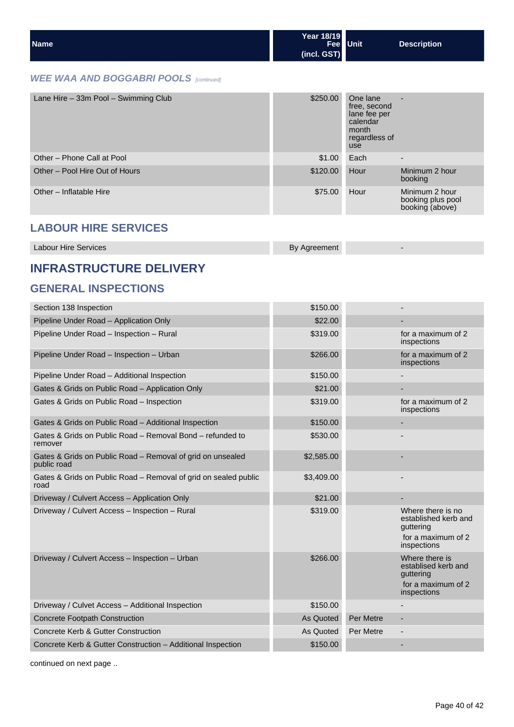| <b>Name</b> | Year 18/19<br>Fee Unit | <b>Description</b> |
|-------------|------------------------|--------------------|
|             | (incl. GST)            |                    |

#### **WEE WAA AND BOGGABRI POOLS** [continued]

| Lane Hire - 33m Pool - Swimming Club | \$250.00 | One lane<br>free, second<br>lane fee per<br>calendar<br>month<br>regardless of<br>use | ٠                                                      |
|--------------------------------------|----------|---------------------------------------------------------------------------------------|--------------------------------------------------------|
| Other - Phone Call at Pool           | \$1.00   | Each                                                                                  | $\overline{\phantom{a}}$                               |
| Other - Pool Hire Out of Hours       | \$120.00 | Hour                                                                                  | Minimum 2 hour<br>booking                              |
| Other - Inflatable Hire              | \$75.00  | Hour                                                                                  | Minimum 2 hour<br>booking plus pool<br>booking (above) |

## **LABOUR HIRE SERVICES**

| <b>Labour Hire Services</b> | By Agreement |  |
|-----------------------------|--------------|--|
|                             |              |  |

## **INFRASTRUCTURE DELIVERY**

## **GENERAL INSPECTIONS**

| Section 138 Inspection                                                    | \$150.00   |           |                                                                                             |
|---------------------------------------------------------------------------|------------|-----------|---------------------------------------------------------------------------------------------|
| Pipeline Under Road - Application Only                                    | \$22.00    |           |                                                                                             |
| Pipeline Under Road - Inspection - Rural                                  | \$319.00   |           | for a maximum of 2<br>inspections                                                           |
| Pipeline Under Road - Inspection - Urban                                  | \$266.00   |           | for a maximum of 2<br>inspections                                                           |
| Pipeline Under Road - Additional Inspection                               | \$150.00   |           |                                                                                             |
| Gates & Grids on Public Road - Application Only                           | \$21.00    |           |                                                                                             |
| Gates & Grids on Public Road - Inspection                                 | \$319.00   |           | for a maximum of 2<br>inspections                                                           |
| Gates & Grids on Public Road - Additional Inspection                      | \$150.00   |           |                                                                                             |
| Gates & Grids on Public Road - Removal Bond - refunded to<br>remover      | \$530.00   |           |                                                                                             |
| Gates & Grids on Public Road - Removal of grid on unsealed<br>public road | \$2,585.00 |           |                                                                                             |
| Gates & Grids on Public Road - Removal of grid on sealed public<br>road   | \$3,409.00 |           |                                                                                             |
| Driveway / Culvert Access - Application Only                              | \$21.00    |           |                                                                                             |
| Driveway / Culvert Access - Inspection - Rural                            | \$319.00   |           | Where there is no<br>established kerb and<br>guttering<br>for a maximum of 2<br>inspections |
| Driveway / Culvert Access - Inspection - Urban                            | \$266.00   |           | Where there is<br>establised kerb and<br>guttering<br>for a maximum of 2<br>inspections     |
| Driveway / Culvet Access - Additional Inspection                          | \$150.00   |           |                                                                                             |
| <b>Concrete Footpath Construction</b>                                     | As Quoted  | Per Metre |                                                                                             |
| Concrete Kerb & Gutter Construction                                       | As Quoted  | Per Metre |                                                                                             |
| Concrete Kerb & Gutter Construction - Additional Inspection               | \$150.00   |           |                                                                                             |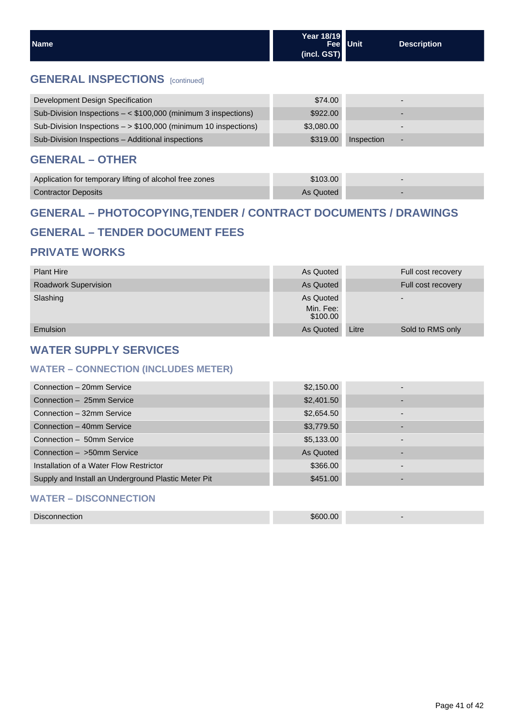| l Name | Year 18/19<br>Fee Unit | <b>Description</b> |
|--------|------------------------|--------------------|
|        | (incl. GST)            |                    |

## **GENERAL INSPECTIONS** [continued]

| Development Design Specification                                  | \$74.00    |            |   |
|-------------------------------------------------------------------|------------|------------|---|
| Sub-Division Inspections $-$ < \$100,000 (minimum 3 inspections)  | \$922.00   |            |   |
| Sub-Division Inspections $-$ > \$100,000 (minimum 10 inspections) | \$3,080,00 |            |   |
| Sub-Division Inspections - Additional inspections                 | \$319.00   | Inspection | - |

## **GENERAL – OTHER**

| Application for temporary lifting of alcohol free zones | \$103.00  |  |
|---------------------------------------------------------|-----------|--|
| <b>Contractor Deposits</b>                              | As Quoted |  |

## **GENERAL – PHOTOCOPYING,TENDER / CONTRACT DOCUMENTS / DRAWINGS**

## **GENERAL – TENDER DOCUMENT FEES**

### **PRIVATE WORKS**

| <b>Plant Hire</b>           | As Quoted             | Full cost recovery        |
|-----------------------------|-----------------------|---------------------------|
| <b>Roadwork Supervision</b> | As Quoted             | Full cost recovery        |
| Slashing                    | As Quoted             | $\overline{\phantom{0}}$  |
|                             | Min. Fee:<br>\$100.00 |                           |
| <b>Emulsion</b>             | As Quoted             | Sold to RMS only<br>Litre |

## **WATER SUPPLY SERVICES**

#### **WATER – CONNECTION (INCLUDES METER)**

| Connection - 20mm Service                           | \$2,150.00 |  |
|-----------------------------------------------------|------------|--|
| Connection - 25mm Service                           | \$2,401.50 |  |
| Connection - 32mm Service                           | \$2,654.50 |  |
| Connection - 40mm Service                           | \$3,779.50 |  |
| Connection - 50mm Service                           | \$5,133.00 |  |
| Connection - >50mm Service                          | As Quoted  |  |
| Installation of a Water Flow Restrictor             | \$366.00   |  |
| Supply and Install an Underground Plastic Meter Pit | \$451.00   |  |
| <b>WATER - DISCONNECTION</b>                        |            |  |

## Disconnection \$600.00